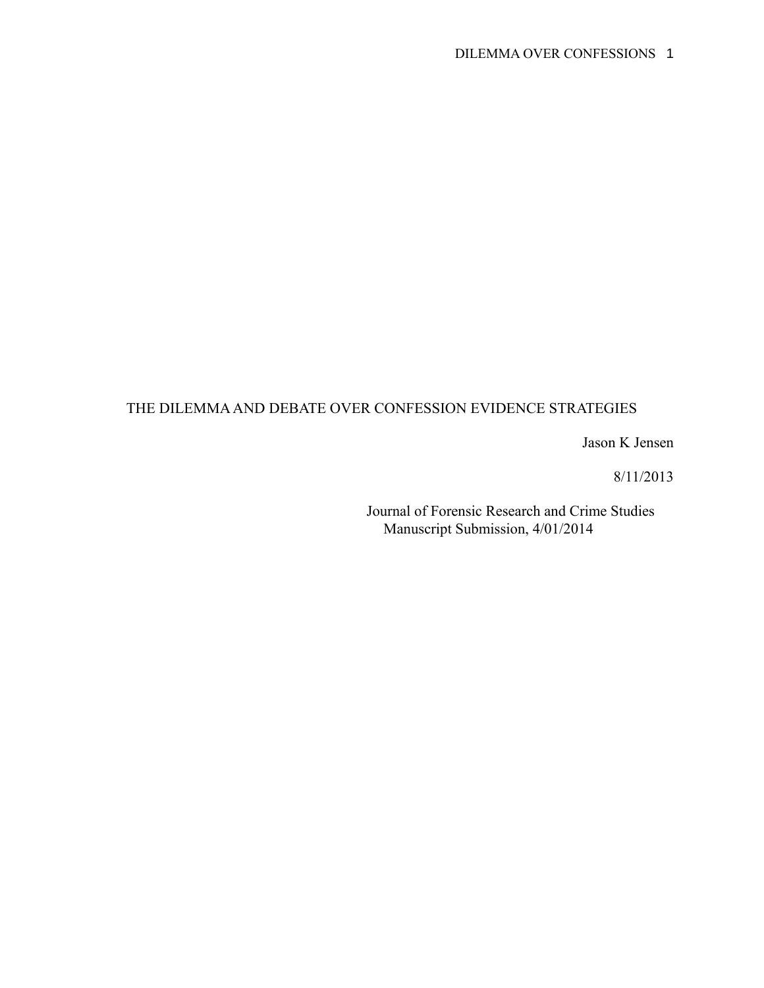# THE DILEMMA AND DEBATE OVER CONFESSION EVIDENCE STRATEGIES

Jason K Jensen

8/11/2013

Journal of Forensic Research and Crime Studies Manuscript Submission, 4/01/2014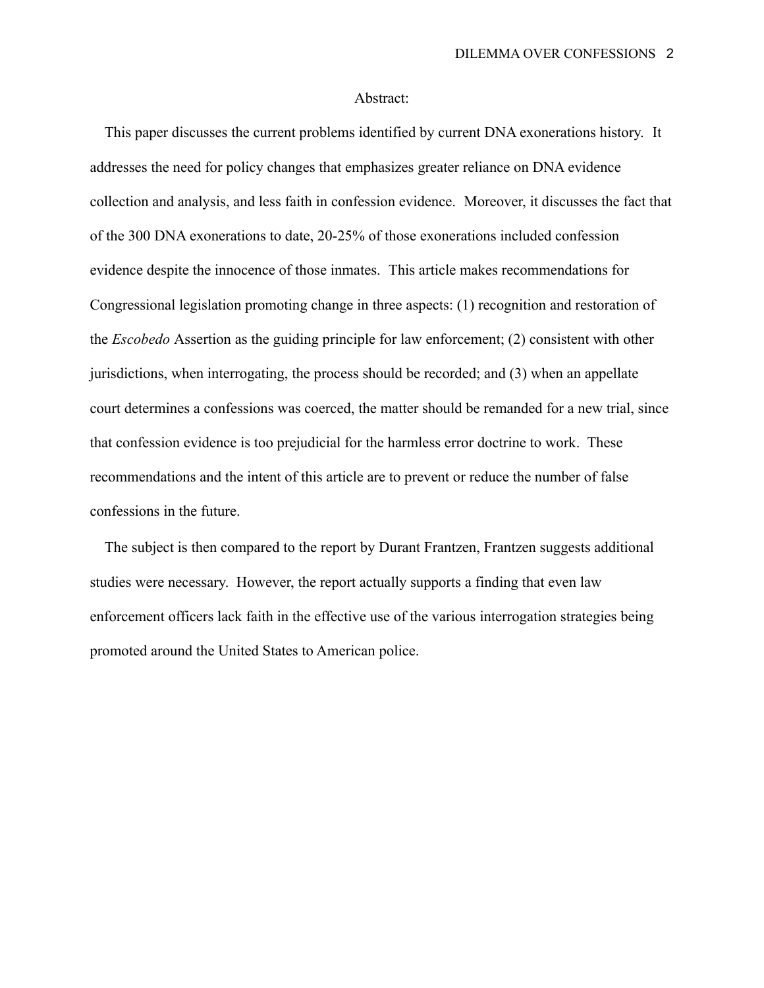# Abstract:

 This paper discusses the current problems identified by current DNA exonerations history. It addresses the need for policy changes that emphasizes greater reliance on DNA evidence collection and analysis, and less faith in confession evidence. Moreover, it discusses the fact that of the 300 DNA exonerations to date, 20-25% of those exonerations included confession evidence despite the innocence of those inmates. This article makes recommendations for Congressional legislation promoting change in three aspects: (1) recognition and restoration of the *Escobedo* Assertion as the guiding principle for law enforcement; (2) consistent with other jurisdictions, when interrogating, the process should be recorded; and (3) when an appellate court determines a confessions was coerced, the matter should be remanded for a new trial, since that confession evidence is too prejudicial for the harmless error doctrine to work. These recommendations and the intent of this article are to prevent or reduce the number of false confessions in the future.

 The subject is then compared to the report by Durant Frantzen, Frantzen suggests additional studies were necessary. However, the report actually supports a finding that even law enforcement officers lack faith in the effective use of the various interrogation strategies being promoted around the United States to American police.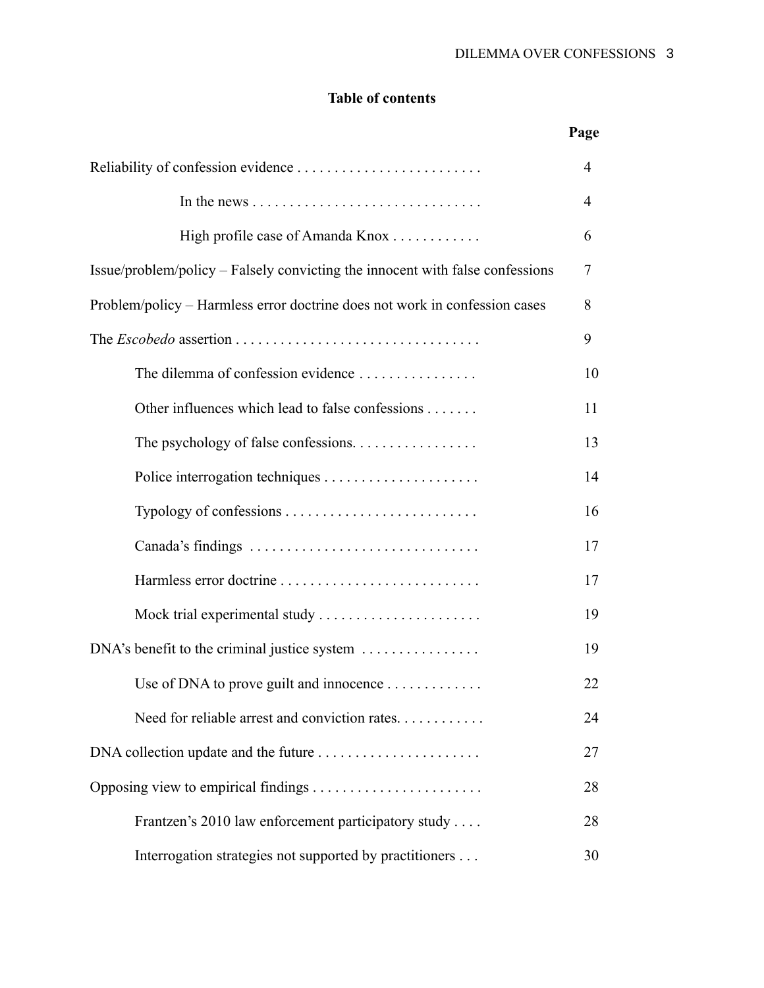# **Table of contents**

|                                                                               | Page   |
|-------------------------------------------------------------------------------|--------|
|                                                                               | 4      |
|                                                                               | 4      |
| High profile case of Amanda Knox                                              | 6      |
| Issue/problem/policy – Falsely convicting the innocent with false confessions | $\tau$ |
| Problem/policy - Harmless error doctrine does not work in confession cases    | 8      |
|                                                                               | 9      |
| The dilemma of confession evidence                                            | 10     |
| Other influences which lead to false confessions                              | 11     |
| The psychology of false confessions                                           | 13     |
|                                                                               | 14     |
|                                                                               | 16     |
| Canada's findings                                                             | 17     |
|                                                                               | 17     |
|                                                                               | 19     |
| DNA's benefit to the criminal justice system                                  | 19     |
| Use of DNA to prove guilt and innocence                                       | 22     |
| Need for reliable arrest and conviction rates                                 | 24     |
|                                                                               | 27     |
|                                                                               | 28     |
| Frantzen's 2010 law enforcement participatory study                           | 28     |
| Interrogation strategies not supported by practitioners                       | 30     |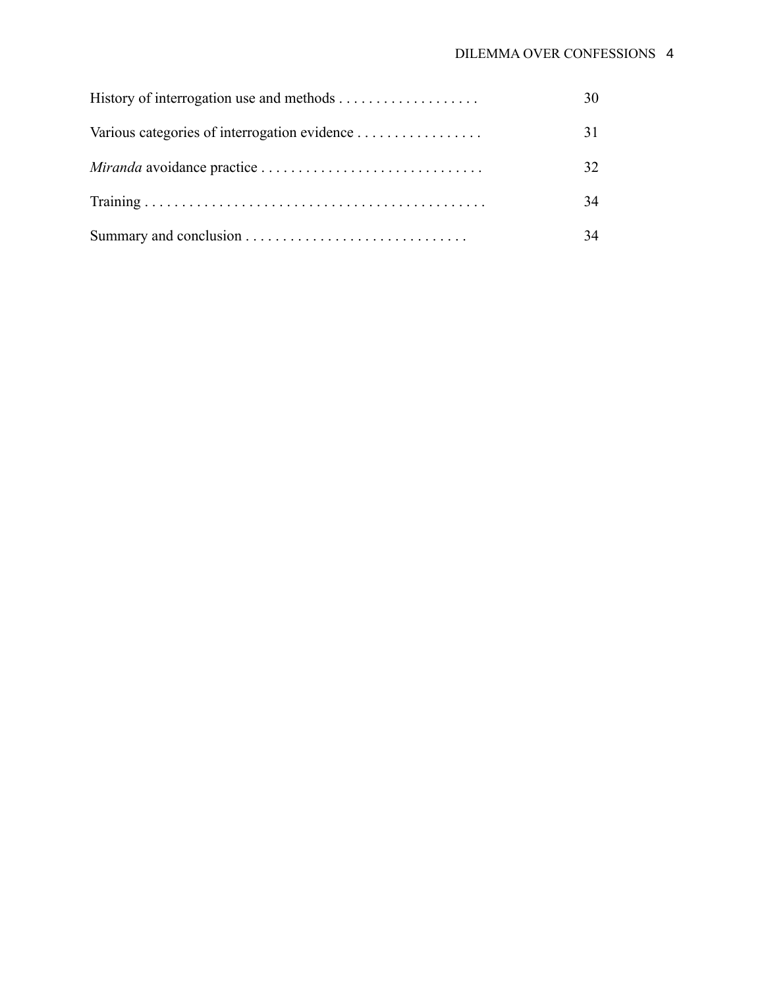| 30 |
|----|
| 31 |
| 32 |
| 34 |
| 34 |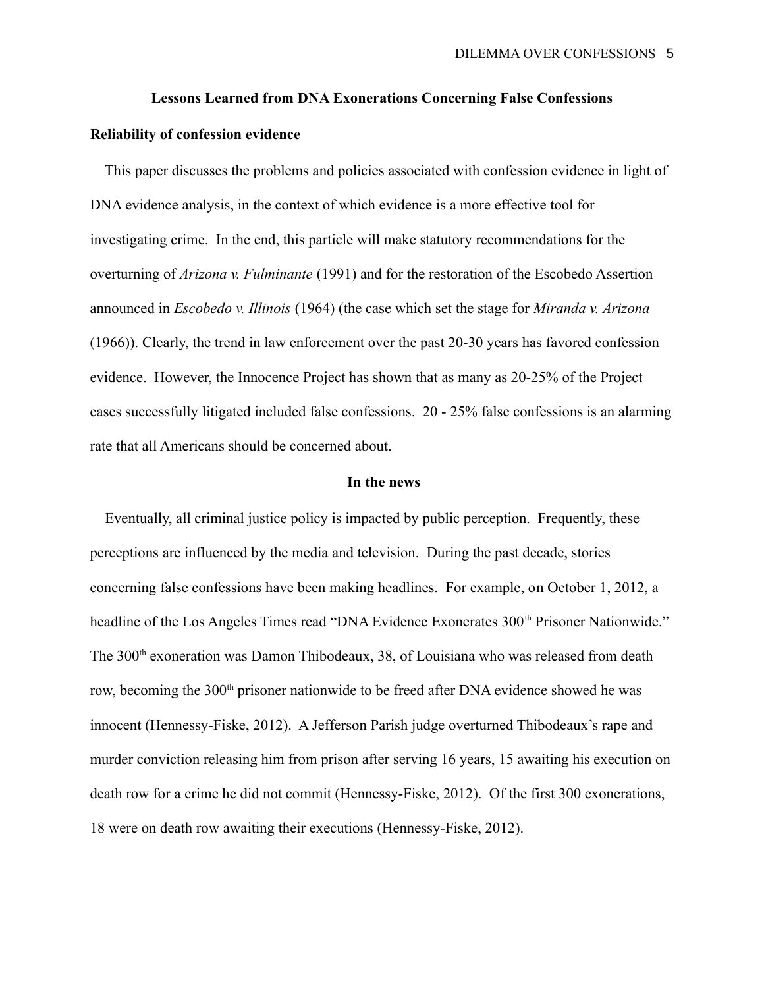# **Lessons Learned from DNA Exonerations Concerning False Confessions**

# **Reliability of confession evidence**

 This paper discusses the problems and policies associated with confession evidence in light of DNA evidence analysis, in the context of which evidence is a more effective tool for investigating crime. In the end, this particle will make statutory recommendations for the overturning of *Arizona v. Fulminante* (1991) and for the restoration of the Escobedo Assertion announced in *Escobedo v. Illinois* (1964) (the case which set the stage for *Miranda v. Arizona* (1966)). Clearly, the trend in law enforcement over the past 20-30 years has favored confession evidence. However, the Innocence Project has shown that as many as 20-25% of the Project cases successfully litigated included false confessions. 20 - 25% false confessions is an alarming rate that all Americans should be concerned about.

# **In the news**

 Eventually, all criminal justice policy is impacted by public perception. Frequently, these perceptions are influenced by the media and television. During the past decade, stories concerning false confessions have been making headlines. For example, on October 1, 2012, a headline of the Los Angeles Times read "DNA Evidence Exonerates 300<sup>th</sup> Prisoner Nationwide." The 300<sup>th</sup> exoneration was Damon Thibodeaux, 38, of Louisiana who was released from death row, becoming the 300<sup>th</sup> prisoner nationwide to be freed after DNA evidence showed he was innocent (Hennessy-Fiske, 2012). A Jefferson Parish judge overturned Thibodeaux's rape and murder conviction releasing him from prison after serving 16 years, 15 awaiting his execution on death row for a crime he did not commit (Hennessy-Fiske, 2012). Of the first 300 exonerations, 18 were on death row awaiting their executions (Hennessy-Fiske, 2012).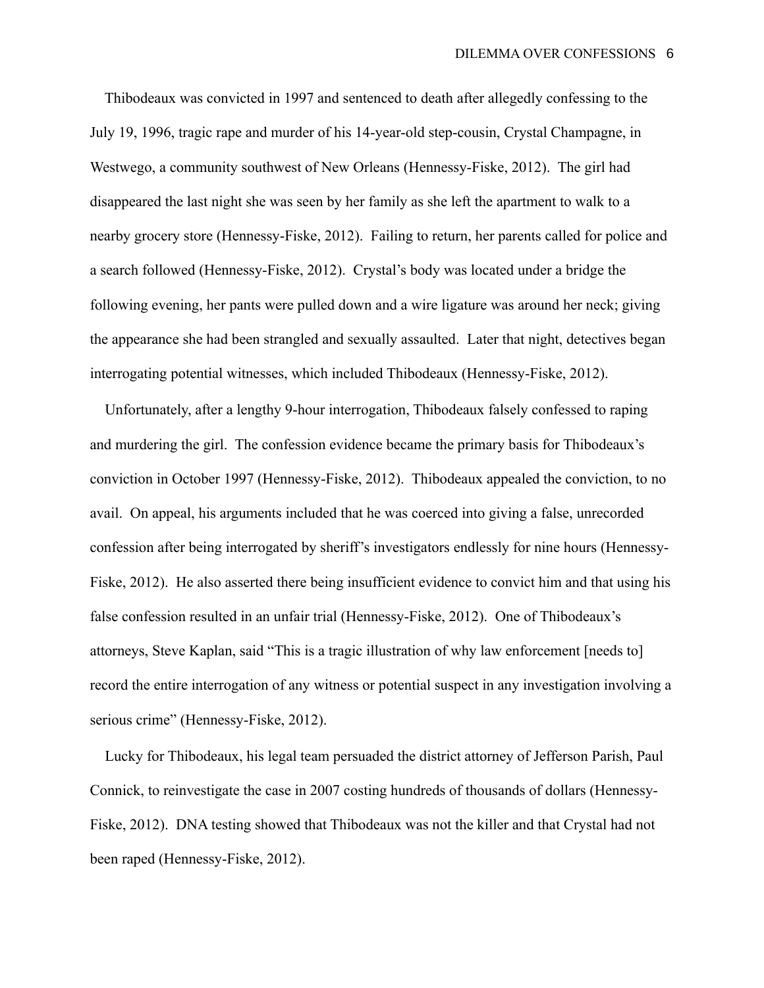Thibodeaux was convicted in 1997 and sentenced to death after allegedly confessing to the July 19, 1996, tragic rape and murder of his 14-year-old step-cousin, Crystal Champagne, in Westwego, a community southwest of New Orleans (Hennessy-Fiske, 2012). The girl had disappeared the last night she was seen by her family as she left the apartment to walk to a nearby grocery store (Hennessy-Fiske, 2012). Failing to return, her parents called for police and a search followed (Hennessy-Fiske, 2012). Crystal's body was located under a bridge the following evening, her pants were pulled down and a wire ligature was around her neck; giving the appearance she had been strangled and sexually assaulted. Later that night, detectives began interrogating potential witnesses, which included Thibodeaux (Hennessy-Fiske, 2012).

 Unfortunately, after a lengthy 9-hour interrogation, Thibodeaux falsely confessed to raping and murdering the girl. The confession evidence became the primary basis for Thibodeaux's conviction in October 1997 (Hennessy-Fiske, 2012). Thibodeaux appealed the conviction, to no avail. On appeal, his arguments included that he was coerced into giving a false, unrecorded confession after being interrogated by sheriff's investigators endlessly for nine hours (Hennessy-Fiske, 2012). He also asserted there being insufficient evidence to convict him and that using his false confession resulted in an unfair trial (Hennessy-Fiske, 2012). One of Thibodeaux's attorneys, Steve Kaplan, said "This is a tragic illustration of why law enforcement [needs to] record the entire interrogation of any witness or potential suspect in any investigation involving a serious crime" (Hennessy-Fiske, 2012).

 Lucky for Thibodeaux, his legal team persuaded the district attorney of Jefferson Parish, Paul Connick, to reinvestigate the case in 2007 costing hundreds of thousands of dollars (Hennessy-Fiske, 2012). DNA testing showed that Thibodeaux was not the killer and that Crystal had not been raped (Hennessy-Fiske, 2012).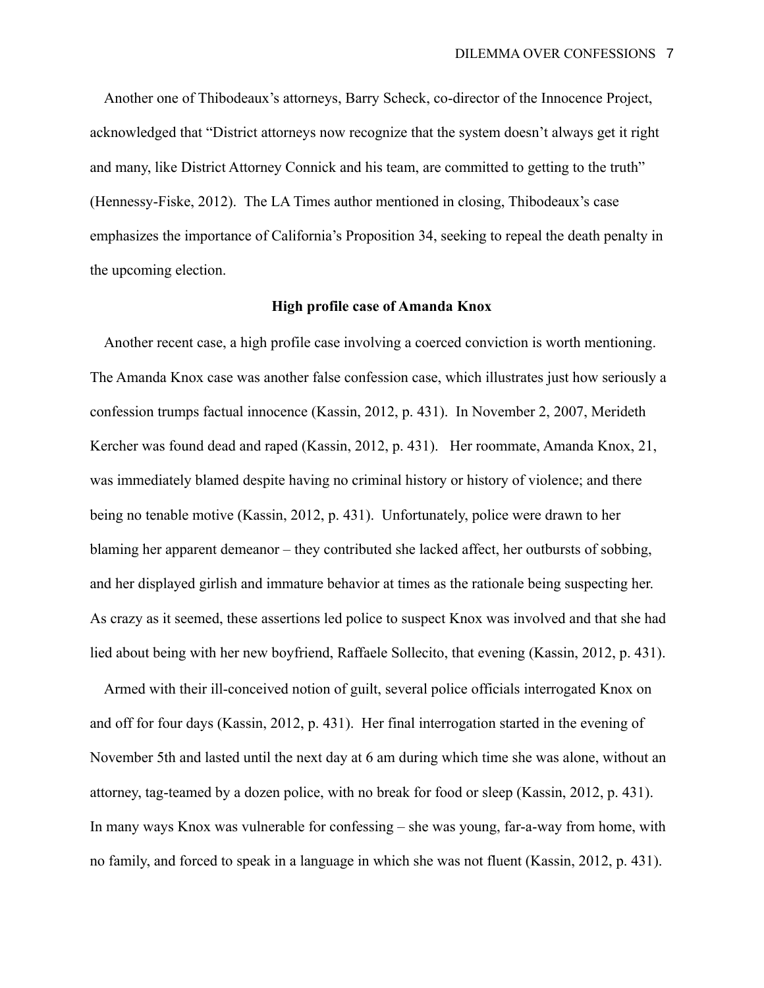Another one of Thibodeaux's attorneys, Barry Scheck, co-director of the Innocence Project, acknowledged that "District attorneys now recognize that the system doesn't always get it right and many, like District Attorney Connick and his team, are committed to getting to the truth" (Hennessy-Fiske, 2012). The LA Times author mentioned in closing, Thibodeaux's case emphasizes the importance of California's Proposition 34, seeking to repeal the death penalty in the upcoming election.

#### **High profile case of Amanda Knox**

 Another recent case, a high profile case involving a coerced conviction is worth mentioning. The Amanda Knox case was another false confession case, which illustrates just how seriously a confession trumps factual innocence (Kassin, 2012, p. 431). In November 2, 2007, Merideth Kercher was found dead and raped (Kassin, 2012, p. 431). Her roommate, Amanda Knox, 21, was immediately blamed despite having no criminal history or history of violence; and there being no tenable motive (Kassin, 2012, p. 431). Unfortunately, police were drawn to her blaming her apparent demeanor – they contributed she lacked affect, her outbursts of sobbing, and her displayed girlish and immature behavior at times as the rationale being suspecting her. As crazy as it seemed, these assertions led police to suspect Knox was involved and that she had lied about being with her new boyfriend, Raffaele Sollecito, that evening (Kassin, 2012, p. 431).

 Armed with their ill-conceived notion of guilt, several police officials interrogated Knox on and off for four days (Kassin, 2012, p. 431). Her final interrogation started in the evening of November 5th and lasted until the next day at 6 am during which time she was alone, without an attorney, tag-teamed by a dozen police, with no break for food or sleep (Kassin, 2012, p. 431). In many ways Knox was vulnerable for confessing – she was young, far-a-way from home, with no family, and forced to speak in a language in which she was not fluent (Kassin, 2012, p. 431).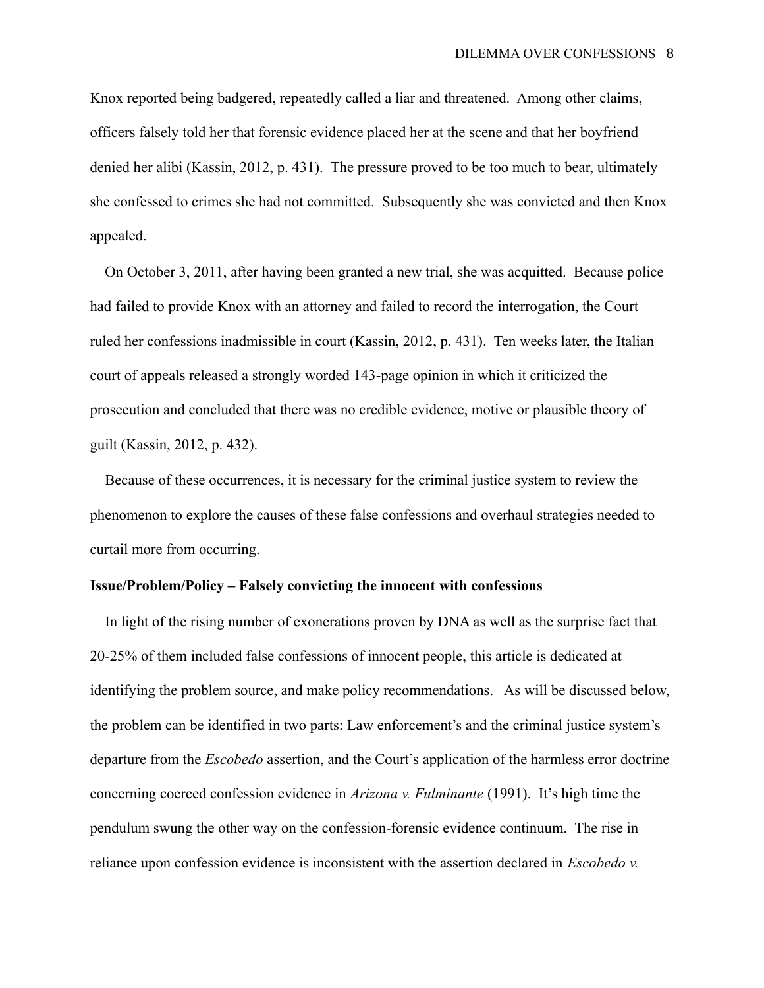Knox reported being badgered, repeatedly called a liar and threatened. Among other claims, officers falsely told her that forensic evidence placed her at the scene and that her boyfriend denied her alibi (Kassin, 2012, p. 431). The pressure proved to be too much to bear, ultimately she confessed to crimes she had not committed. Subsequently she was convicted and then Knox appealed.

 On October 3, 2011, after having been granted a new trial, she was acquitted. Because police had failed to provide Knox with an attorney and failed to record the interrogation, the Court ruled her confessions inadmissible in court (Kassin, 2012, p. 431). Ten weeks later, the Italian court of appeals released a strongly worded 143-page opinion in which it criticized the prosecution and concluded that there was no credible evidence, motive or plausible theory of guilt (Kassin, 2012, p. 432).

 Because of these occurrences, it is necessary for the criminal justice system to review the phenomenon to explore the causes of these false confessions and overhaul strategies needed to curtail more from occurring.

# **Issue/Problem/Policy – Falsely convicting the innocent with confessions**

 In light of the rising number of exonerations proven by DNA as well as the surprise fact that 20-25% of them included false confessions of innocent people, this article is dedicated at identifying the problem source, and make policy recommendations. As will be discussed below, the problem can be identified in two parts: Law enforcement's and the criminal justice system's departure from the *Escobedo* assertion, and the Court's application of the harmless error doctrine concerning coerced confession evidence in *Arizona v. Fulminante* (1991). It's high time the pendulum swung the other way on the confession-forensic evidence continuum. The rise in reliance upon confession evidence is inconsistent with the assertion declared in *Escobedo v.*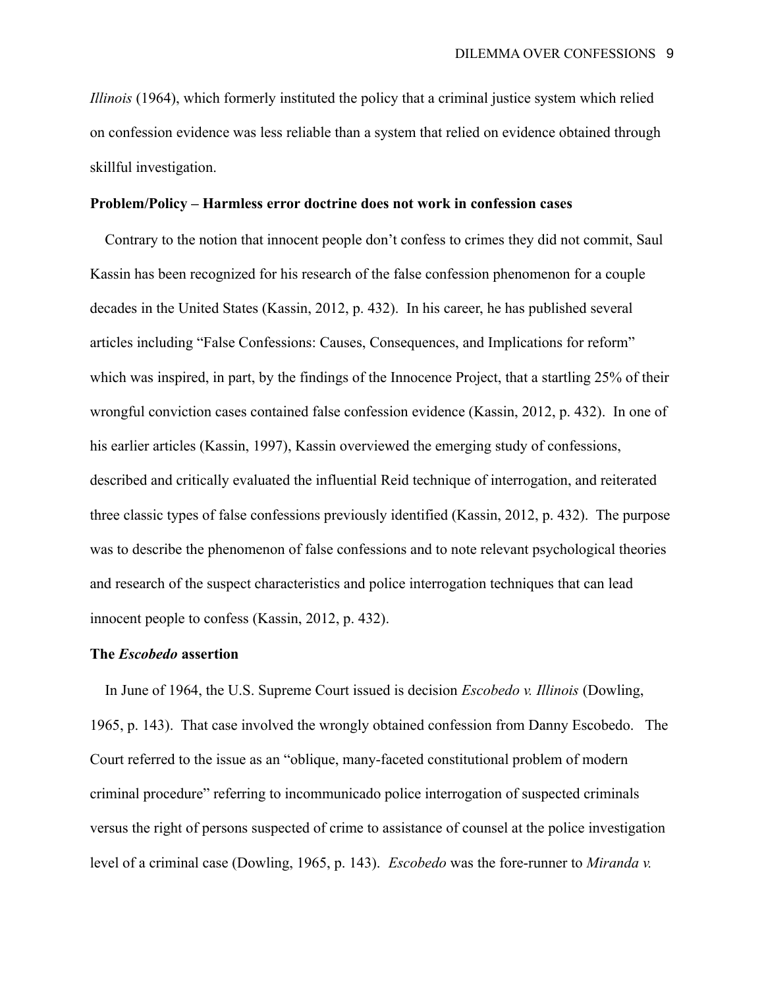*Illinois* (1964), which formerly instituted the policy that a criminal justice system which relied on confession evidence was less reliable than a system that relied on evidence obtained through skillful investigation.

### **Problem/Policy – Harmless error doctrine does not work in confession cases**

 Contrary to the notion that innocent people don't confess to crimes they did not commit, Saul Kassin has been recognized for his research of the false confession phenomenon for a couple decades in the United States (Kassin, 2012, p. 432). In his career, he has published several articles including "False Confessions: Causes, Consequences, and Implications for reform" which was inspired, in part, by the findings of the Innocence Project, that a startling 25% of their wrongful conviction cases contained false confession evidence (Kassin, 2012, p. 432). In one of his earlier articles (Kassin, 1997), Kassin overviewed the emerging study of confessions, described and critically evaluated the influential Reid technique of interrogation, and reiterated three classic types of false confessions previously identified (Kassin, 2012, p. 432). The purpose was to describe the phenomenon of false confessions and to note relevant psychological theories and research of the suspect characteristics and police interrogation techniques that can lead innocent people to confess (Kassin, 2012, p. 432).

### **The** *Escobedo* **assertion**

 In June of 1964, the U.S. Supreme Court issued is decision *Escobedo v. Illinois* (Dowling, 1965, p. 143). That case involved the wrongly obtained confession from Danny Escobedo. The Court referred to the issue as an "oblique, many-faceted constitutional problem of modern criminal procedure" referring to incommunicado police interrogation of suspected criminals versus the right of persons suspected of crime to assistance of counsel at the police investigation level of a criminal case (Dowling, 1965, p. 143). *Escobedo* was the fore-runner to *Miranda v.*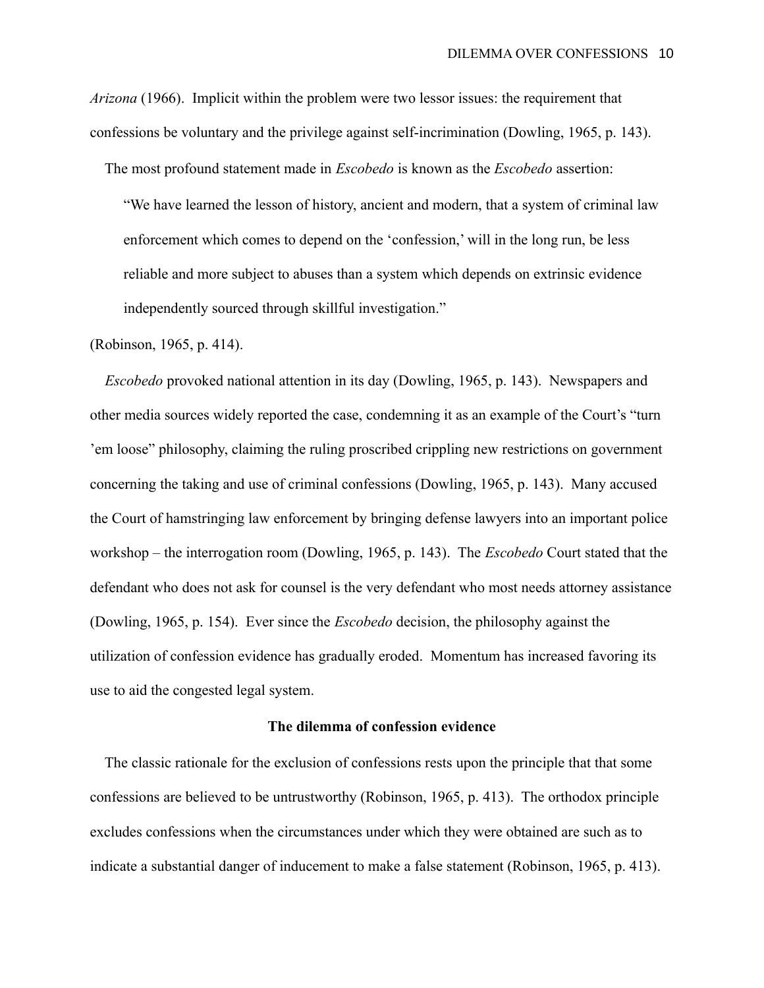*Arizona* (1966). Implicit within the problem were two lessor issues: the requirement that confessions be voluntary and the privilege against self-incrimination (Dowling, 1965, p. 143).

The most profound statement made in *Escobedo* is known as the *Escobedo* assertion:

"We have learned the lesson of history, ancient and modern, that a system of criminal law enforcement which comes to depend on the 'confession,' will in the long run, be less reliable and more subject to abuses than a system which depends on extrinsic evidence independently sourced through skillful investigation."

# (Robinson, 1965, p. 414).

 *Escobedo* provoked national attention in its day (Dowling, 1965, p. 143). Newspapers and other media sources widely reported the case, condemning it as an example of the Court's "turn 'em loose" philosophy, claiming the ruling proscribed crippling new restrictions on government concerning the taking and use of criminal confessions (Dowling, 1965, p. 143). Many accused the Court of hamstringing law enforcement by bringing defense lawyers into an important police workshop – the interrogation room (Dowling, 1965, p. 143). The *Escobedo* Court stated that the defendant who does not ask for counsel is the very defendant who most needs attorney assistance (Dowling, 1965, p. 154). Ever since the *Escobedo* decision, the philosophy against the utilization of confession evidence has gradually eroded. Momentum has increased favoring its use to aid the congested legal system.

#### **The dilemma of confession evidence**

 The classic rationale for the exclusion of confessions rests upon the principle that that some confessions are believed to be untrustworthy (Robinson, 1965, p. 413). The orthodox principle excludes confessions when the circumstances under which they were obtained are such as to indicate a substantial danger of inducement to make a false statement (Robinson, 1965, p. 413).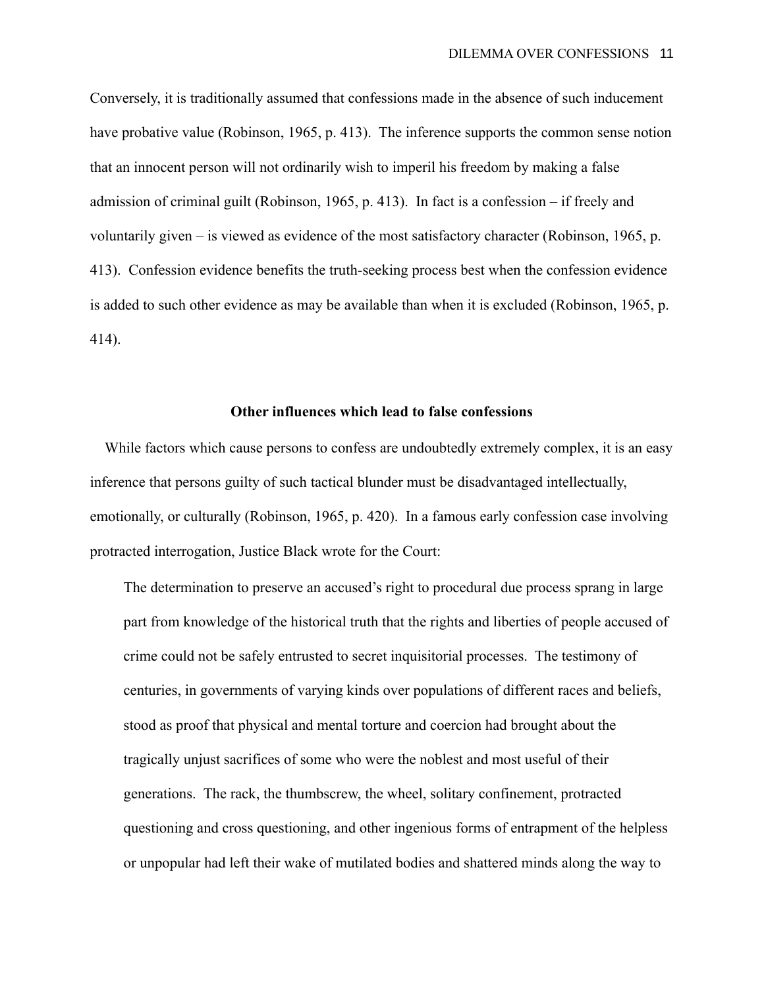Conversely, it is traditionally assumed that confessions made in the absence of such inducement have probative value (Robinson, 1965, p. 413). The inference supports the common sense notion that an innocent person will not ordinarily wish to imperil his freedom by making a false admission of criminal guilt (Robinson, 1965, p. 413). In fact is a confession – if freely and voluntarily given – is viewed as evidence of the most satisfactory character (Robinson, 1965, p. 413). Confession evidence benefits the truth-seeking process best when the confession evidence is added to such other evidence as may be available than when it is excluded (Robinson, 1965, p. 414).

# **Other influences which lead to false confessions**

While factors which cause persons to confess are undoubtedly extremely complex, it is an easy inference that persons guilty of such tactical blunder must be disadvantaged intellectually, emotionally, or culturally (Robinson, 1965, p. 420). In a famous early confession case involving protracted interrogation, Justice Black wrote for the Court:

The determination to preserve an accused's right to procedural due process sprang in large part from knowledge of the historical truth that the rights and liberties of people accused of crime could not be safely entrusted to secret inquisitorial processes. The testimony of centuries, in governments of varying kinds over populations of different races and beliefs, stood as proof that physical and mental torture and coercion had brought about the tragically unjust sacrifices of some who were the noblest and most useful of their generations. The rack, the thumbscrew, the wheel, solitary confinement, protracted questioning and cross questioning, and other ingenious forms of entrapment of the helpless or unpopular had left their wake of mutilated bodies and shattered minds along the way to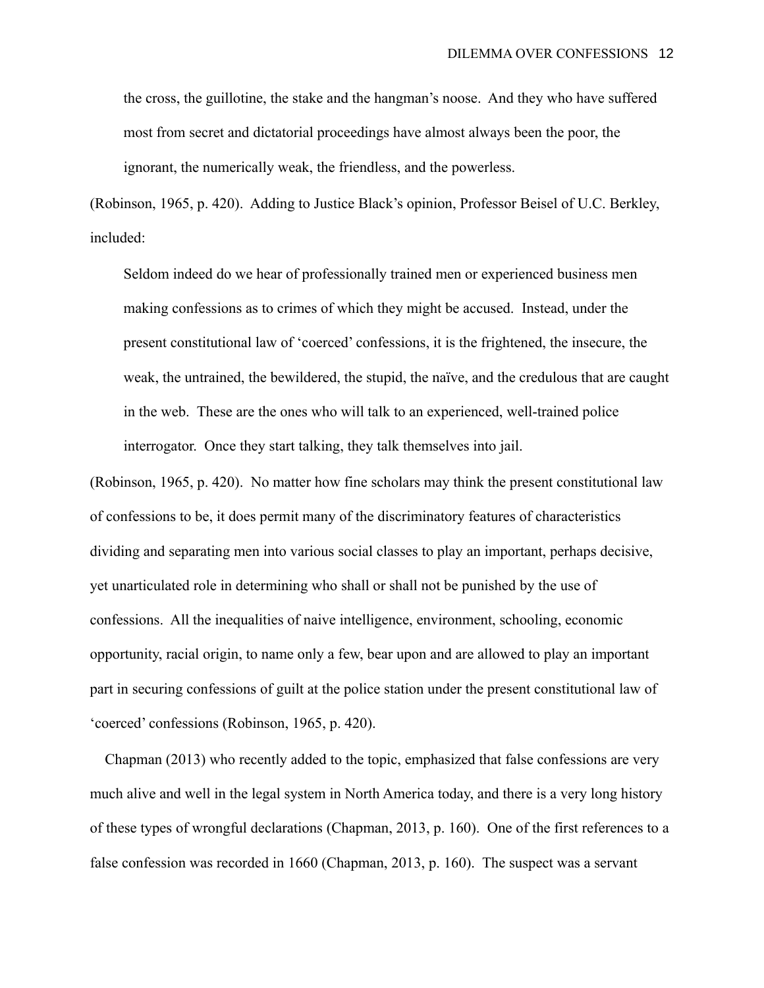the cross, the guillotine, the stake and the hangman's noose. And they who have suffered most from secret and dictatorial proceedings have almost always been the poor, the ignorant, the numerically weak, the friendless, and the powerless.

(Robinson, 1965, p. 420). Adding to Justice Black's opinion, Professor Beisel of U.C. Berkley, included:

Seldom indeed do we hear of professionally trained men or experienced business men making confessions as to crimes of which they might be accused. Instead, under the present constitutional law of 'coerced' confessions, it is the frightened, the insecure, the weak, the untrained, the bewildered, the stupid, the naïve, and the credulous that are caught in the web. These are the ones who will talk to an experienced, well-trained police interrogator. Once they start talking, they talk themselves into jail.

(Robinson, 1965, p. 420). No matter how fine scholars may think the present constitutional law of confessions to be, it does permit many of the discriminatory features of characteristics dividing and separating men into various social classes to play an important, perhaps decisive, yet unarticulated role in determining who shall or shall not be punished by the use of confessions. All the inequalities of naive intelligence, environment, schooling, economic opportunity, racial origin, to name only a few, bear upon and are allowed to play an important part in securing confessions of guilt at the police station under the present constitutional law of 'coerced' confessions (Robinson, 1965, p. 420).

 Chapman (2013) who recently added to the topic, emphasized that false confessions are very much alive and well in the legal system in North America today, and there is a very long history of these types of wrongful declarations (Chapman, 2013, p. 160). One of the first references to a false confession was recorded in 1660 (Chapman, 2013, p. 160). The suspect was a servant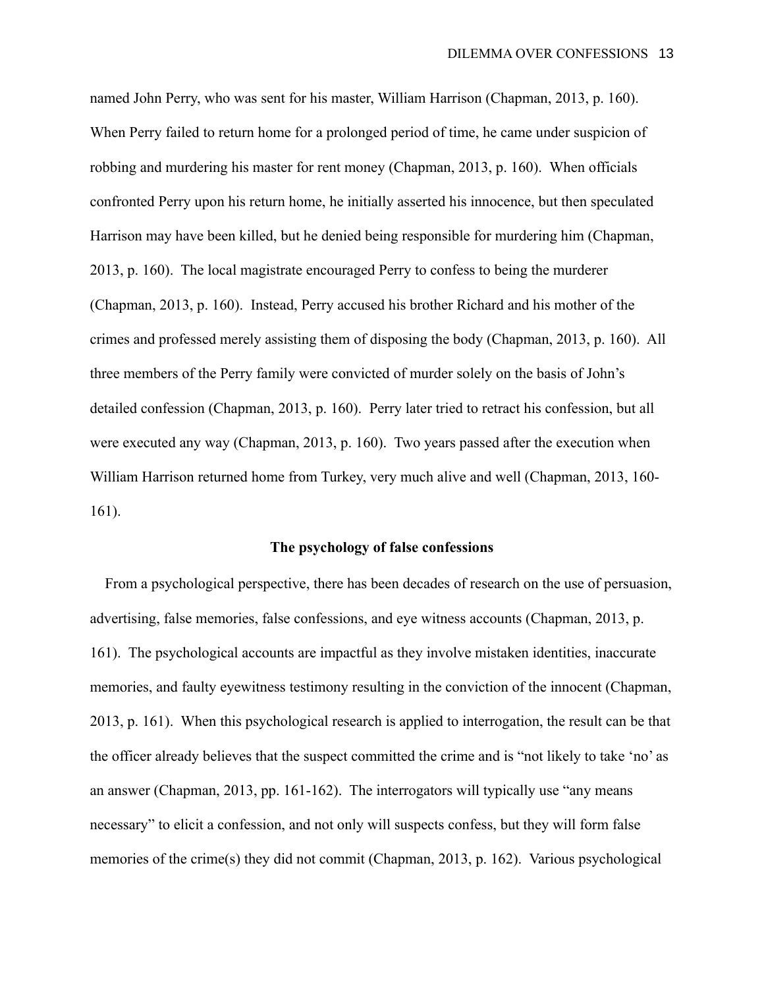named John Perry, who was sent for his master, William Harrison (Chapman, 2013, p. 160). When Perry failed to return home for a prolonged period of time, he came under suspicion of robbing and murdering his master for rent money (Chapman, 2013, p. 160). When officials confronted Perry upon his return home, he initially asserted his innocence, but then speculated Harrison may have been killed, but he denied being responsible for murdering him (Chapman, 2013, p. 160). The local magistrate encouraged Perry to confess to being the murderer (Chapman, 2013, p. 160). Instead, Perry accused his brother Richard and his mother of the crimes and professed merely assisting them of disposing the body (Chapman, 2013, p. 160). All three members of the Perry family were convicted of murder solely on the basis of John's detailed confession (Chapman, 2013, p. 160). Perry later tried to retract his confession, but all were executed any way (Chapman, 2013, p. 160). Two years passed after the execution when William Harrison returned home from Turkey, very much alive and well (Chapman, 2013, 160- 161).

### **The psychology of false confessions**

 From a psychological perspective, there has been decades of research on the use of persuasion, advertising, false memories, false confessions, and eye witness accounts (Chapman, 2013, p. 161). The psychological accounts are impactful as they involve mistaken identities, inaccurate memories, and faulty eyewitness testimony resulting in the conviction of the innocent (Chapman, 2013, p. 161). When this psychological research is applied to interrogation, the result can be that the officer already believes that the suspect committed the crime and is "not likely to take 'no' as an answer (Chapman, 2013, pp. 161-162). The interrogators will typically use "any means necessary" to elicit a confession, and not only will suspects confess, but they will form false memories of the crime(s) they did not commit (Chapman, 2013, p. 162). Various psychological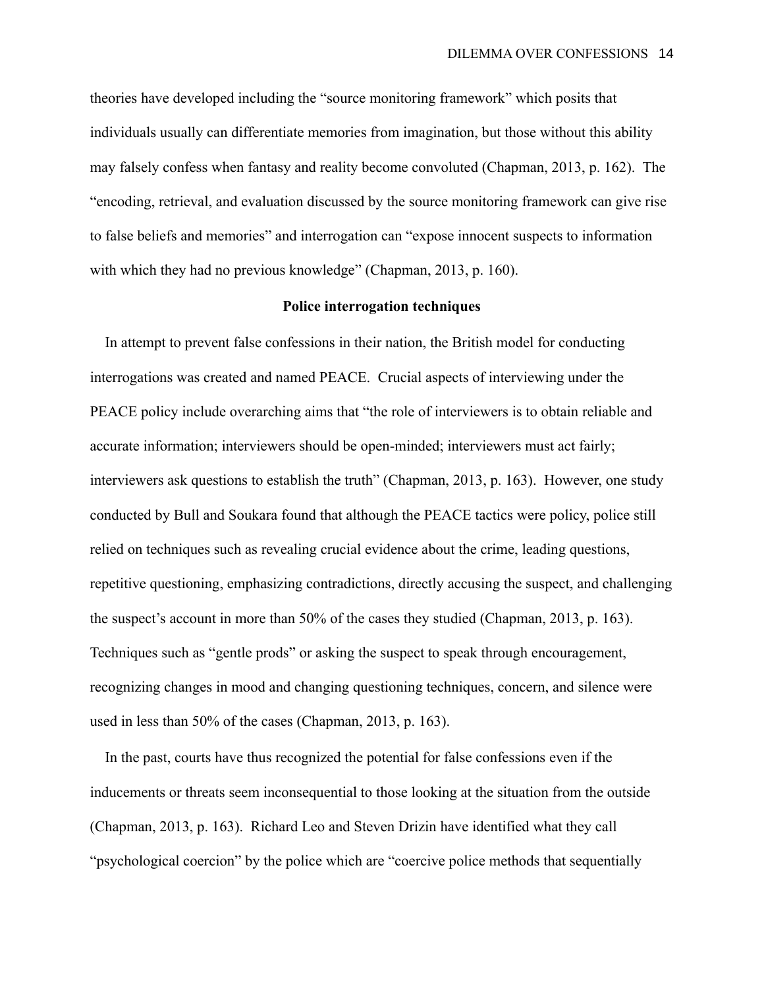theories have developed including the "source monitoring framework" which posits that individuals usually can differentiate memories from imagination, but those without this ability may falsely confess when fantasy and reality become convoluted (Chapman, 2013, p. 162). The "encoding, retrieval, and evaluation discussed by the source monitoring framework can give rise to false beliefs and memories" and interrogation can "expose innocent suspects to information with which they had no previous knowledge" (Chapman, 2013, p. 160).

# **Police interrogation techniques**

 In attempt to prevent false confessions in their nation, the British model for conducting interrogations was created and named PEACE. Crucial aspects of interviewing under the PEACE policy include overarching aims that "the role of interviewers is to obtain reliable and accurate information; interviewers should be open-minded; interviewers must act fairly; interviewers ask questions to establish the truth" (Chapman, 2013, p. 163). However, one study conducted by Bull and Soukara found that although the PEACE tactics were policy, police still relied on techniques such as revealing crucial evidence about the crime, leading questions, repetitive questioning, emphasizing contradictions, directly accusing the suspect, and challenging the suspect's account in more than 50% of the cases they studied (Chapman, 2013, p. 163). Techniques such as "gentle prods" or asking the suspect to speak through encouragement, recognizing changes in mood and changing questioning techniques, concern, and silence were used in less than 50% of the cases (Chapman, 2013, p. 163).

 In the past, courts have thus recognized the potential for false confessions even if the inducements or threats seem inconsequential to those looking at the situation from the outside (Chapman, 2013, p. 163). Richard Leo and Steven Drizin have identified what they call "psychological coercion" by the police which are "coercive police methods that sequentially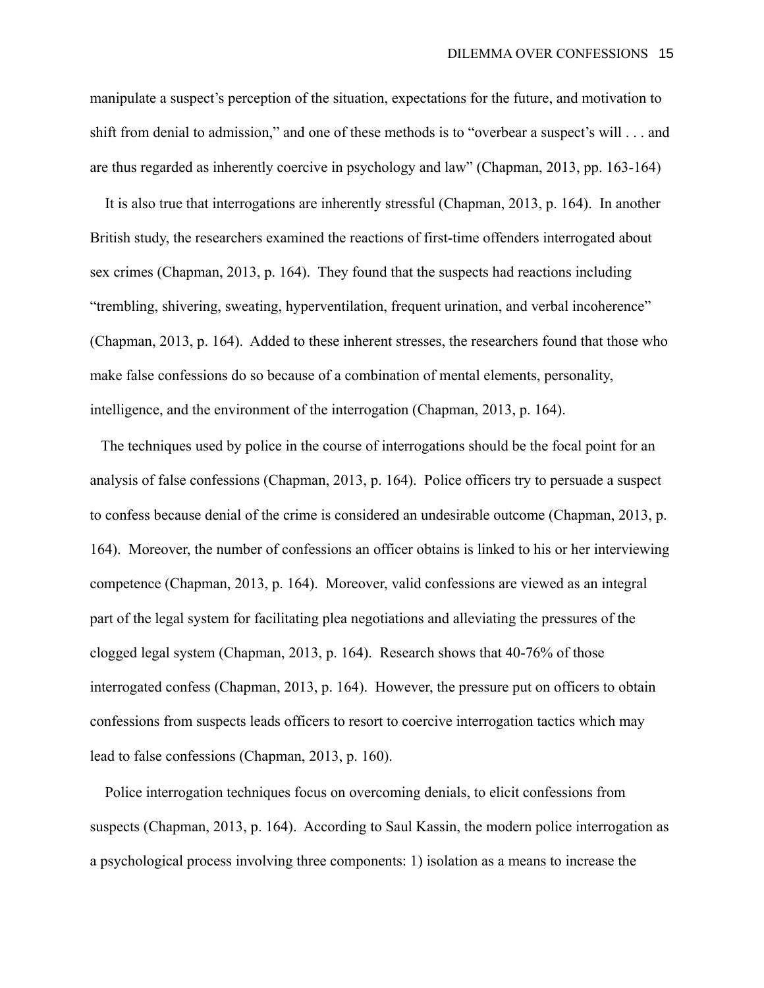manipulate a suspect's perception of the situation, expectations for the future, and motivation to shift from denial to admission," and one of these methods is to "overbear a suspect's will . . . and are thus regarded as inherently coercive in psychology and law" (Chapman, 2013, pp. 163-164)

 It is also true that interrogations are inherently stressful (Chapman, 2013, p. 164). In another British study, the researchers examined the reactions of first-time offenders interrogated about sex crimes (Chapman, 2013, p. 164). They found that the suspects had reactions including "trembling, shivering, sweating, hyperventilation, frequent urination, and verbal incoherence" (Chapman, 2013, p. 164). Added to these inherent stresses, the researchers found that those who make false confessions do so because of a combination of mental elements, personality, intelligence, and the environment of the interrogation (Chapman, 2013, p. 164).

 The techniques used by police in the course of interrogations should be the focal point for an analysis of false confessions (Chapman, 2013, p. 164). Police officers try to persuade a suspect to confess because denial of the crime is considered an undesirable outcome (Chapman, 2013, p. 164). Moreover, the number of confessions an officer obtains is linked to his or her interviewing competence (Chapman, 2013, p. 164). Moreover, valid confessions are viewed as an integral part of the legal system for facilitating plea negotiations and alleviating the pressures of the clogged legal system (Chapman, 2013, p. 164). Research shows that 40-76% of those interrogated confess (Chapman, 2013, p. 164). However, the pressure put on officers to obtain confessions from suspects leads officers to resort to coercive interrogation tactics which may lead to false confessions (Chapman, 2013, p. 160).

 Police interrogation techniques focus on overcoming denials, to elicit confessions from suspects (Chapman, 2013, p. 164). According to Saul Kassin, the modern police interrogation as a psychological process involving three components: 1) isolation as a means to increase the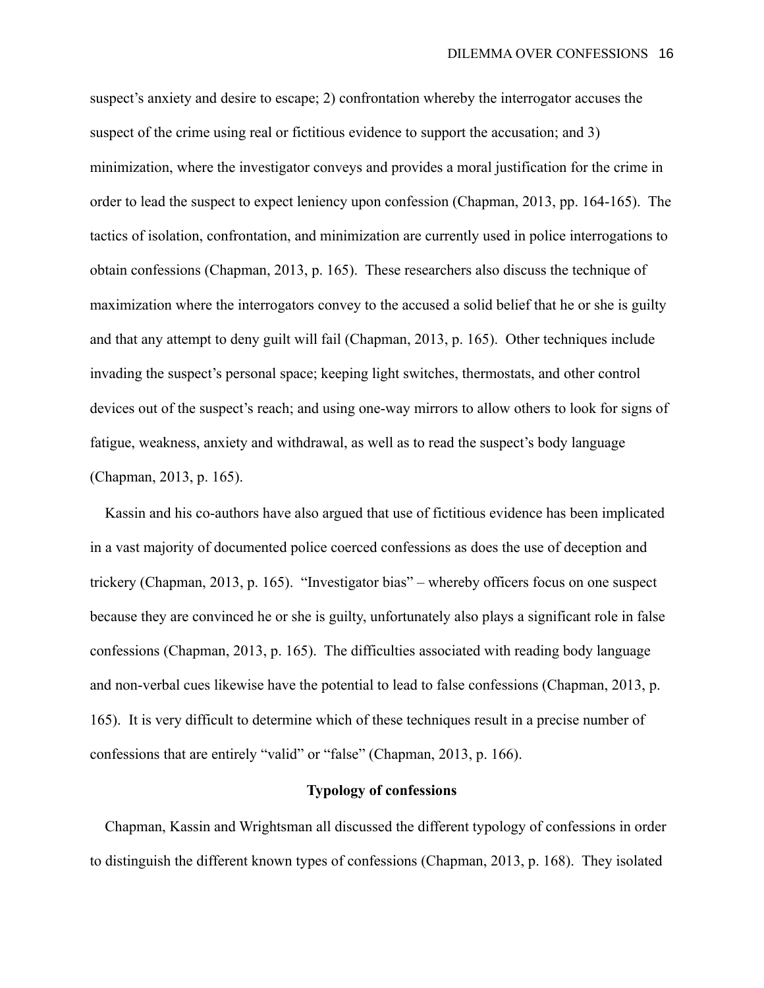suspect's anxiety and desire to escape; 2) confrontation whereby the interrogator accuses the suspect of the crime using real or fictitious evidence to support the accusation; and 3) minimization, where the investigator conveys and provides a moral justification for the crime in order to lead the suspect to expect leniency upon confession (Chapman, 2013, pp. 164-165). The tactics of isolation, confrontation, and minimization are currently used in police interrogations to obtain confessions (Chapman, 2013, p. 165). These researchers also discuss the technique of maximization where the interrogators convey to the accused a solid belief that he or she is guilty and that any attempt to deny guilt will fail (Chapman, 2013, p. 165). Other techniques include invading the suspect's personal space; keeping light switches, thermostats, and other control devices out of the suspect's reach; and using one-way mirrors to allow others to look for signs of fatigue, weakness, anxiety and withdrawal, as well as to read the suspect's body language (Chapman, 2013, p. 165).

 Kassin and his co-authors have also argued that use of fictitious evidence has been implicated in a vast majority of documented police coerced confessions as does the use of deception and trickery (Chapman, 2013, p. 165). "Investigator bias" – whereby officers focus on one suspect because they are convinced he or she is guilty, unfortunately also plays a significant role in false confessions (Chapman, 2013, p. 165). The difficulties associated with reading body language and non-verbal cues likewise have the potential to lead to false confessions (Chapman, 2013, p. 165). It is very difficult to determine which of these techniques result in a precise number of confessions that are entirely "valid" or "false" (Chapman, 2013, p. 166).

# **Typology of confessions**

 Chapman, Kassin and Wrightsman all discussed the different typology of confessions in order to distinguish the different known types of confessions (Chapman, 2013, p. 168). They isolated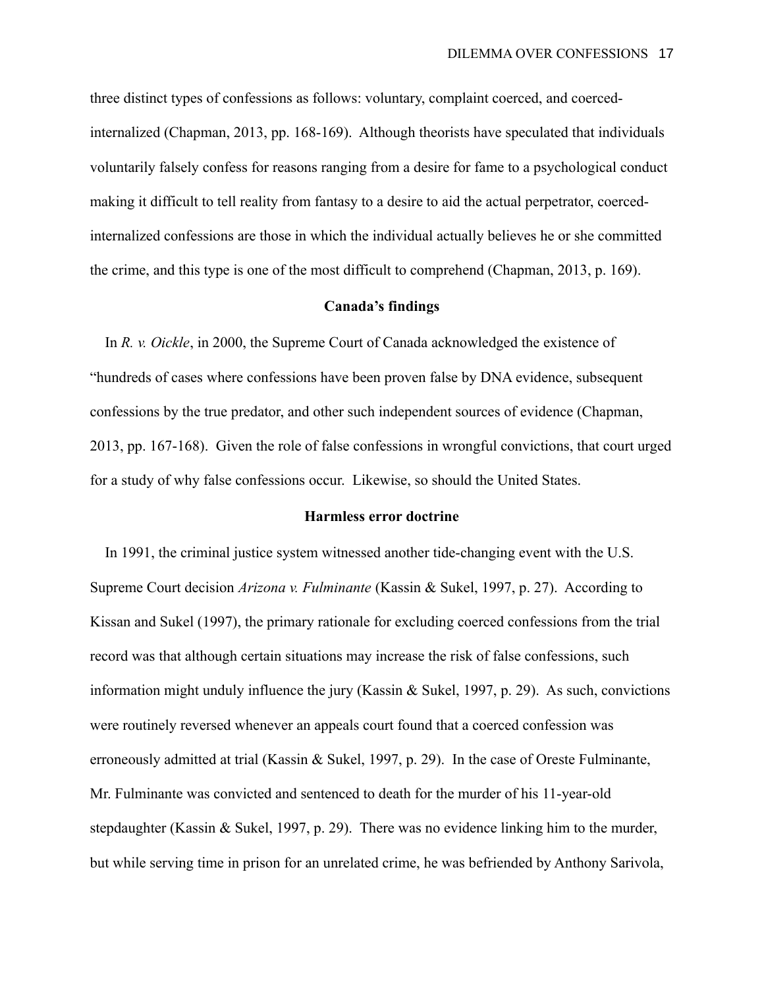three distinct types of confessions as follows: voluntary, complaint coerced, and coercedinternalized (Chapman, 2013, pp. 168-169). Although theorists have speculated that individuals voluntarily falsely confess for reasons ranging from a desire for fame to a psychological conduct making it difficult to tell reality from fantasy to a desire to aid the actual perpetrator, coercedinternalized confessions are those in which the individual actually believes he or she committed the crime, and this type is one of the most difficult to comprehend (Chapman, 2013, p. 169).

### **Canada's findings**

 In *R. v. Oickle*, in 2000, the Supreme Court of Canada acknowledged the existence of "hundreds of cases where confessions have been proven false by DNA evidence, subsequent confessions by the true predator, and other such independent sources of evidence (Chapman, 2013, pp. 167-168). Given the role of false confessions in wrongful convictions, that court urged for a study of why false confessions occur. Likewise, so should the United States.

# **Harmless error doctrine**

 In 1991, the criminal justice system witnessed another tide-changing event with the U.S. Supreme Court decision *Arizona v. Fulminante* (Kassin & Sukel, 1997, p. 27). According to Kissan and Sukel (1997), the primary rationale for excluding coerced confessions from the trial record was that although certain situations may increase the risk of false confessions, such information might unduly influence the jury (Kassin & Sukel, 1997, p. 29). As such, convictions were routinely reversed whenever an appeals court found that a coerced confession was erroneously admitted at trial (Kassin & Sukel, 1997, p. 29). In the case of Oreste Fulminante, Mr. Fulminante was convicted and sentenced to death for the murder of his 11-year-old stepdaughter (Kassin & Sukel, 1997, p. 29). There was no evidence linking him to the murder, but while serving time in prison for an unrelated crime, he was befriended by Anthony Sarivola,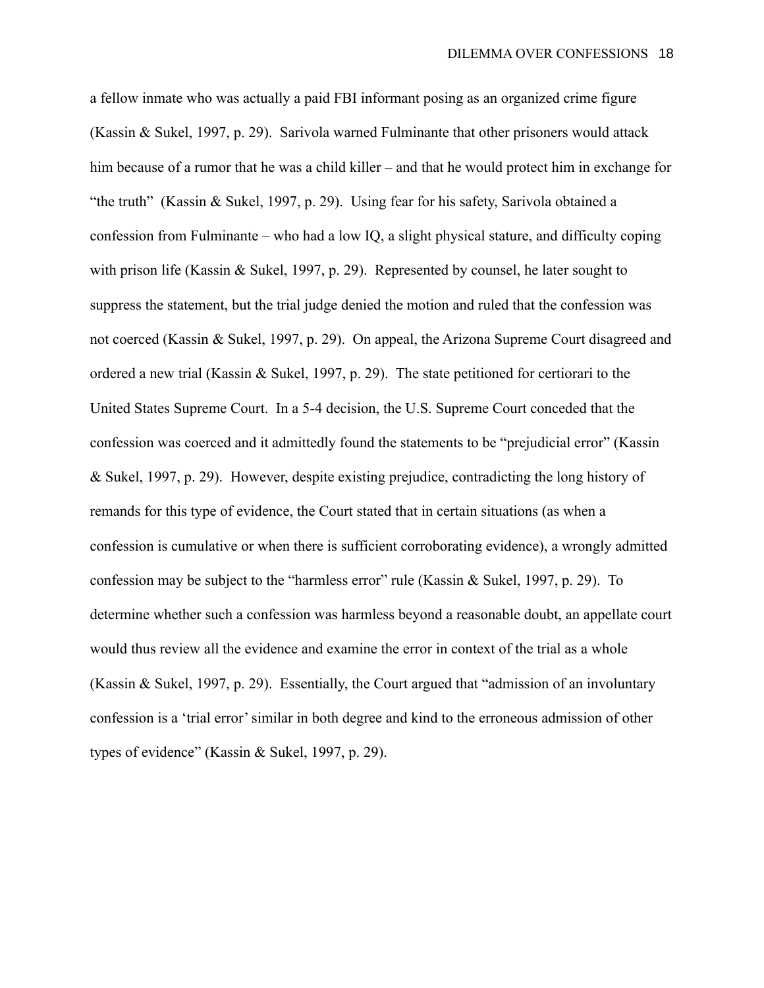a fellow inmate who was actually a paid FBI informant posing as an organized crime figure (Kassin & Sukel, 1997, p. 29). Sarivola warned Fulminante that other prisoners would attack him because of a rumor that he was a child killer – and that he would protect him in exchange for "the truth" (Kassin & Sukel, 1997, p. 29). Using fear for his safety, Sarivola obtained a confession from Fulminante – who had a low IQ, a slight physical stature, and difficulty coping with prison life (Kassin & Sukel, 1997, p. 29). Represented by counsel, he later sought to suppress the statement, but the trial judge denied the motion and ruled that the confession was not coerced (Kassin & Sukel, 1997, p. 29). On appeal, the Arizona Supreme Court disagreed and ordered a new trial (Kassin & Sukel, 1997, p. 29). The state petitioned for certiorari to the United States Supreme Court. In a 5-4 decision, the U.S. Supreme Court conceded that the confession was coerced and it admittedly found the statements to be "prejudicial error" (Kassin & Sukel, 1997, p. 29). However, despite existing prejudice, contradicting the long history of remands for this type of evidence, the Court stated that in certain situations (as when a confession is cumulative or when there is sufficient corroborating evidence), a wrongly admitted confession may be subject to the "harmless error" rule (Kassin & Sukel, 1997, p. 29). To determine whether such a confession was harmless beyond a reasonable doubt, an appellate court would thus review all the evidence and examine the error in context of the trial as a whole (Kassin & Sukel, 1997, p. 29). Essentially, the Court argued that "admission of an involuntary confession is a 'trial error' similar in both degree and kind to the erroneous admission of other types of evidence" (Kassin & Sukel, 1997, p. 29).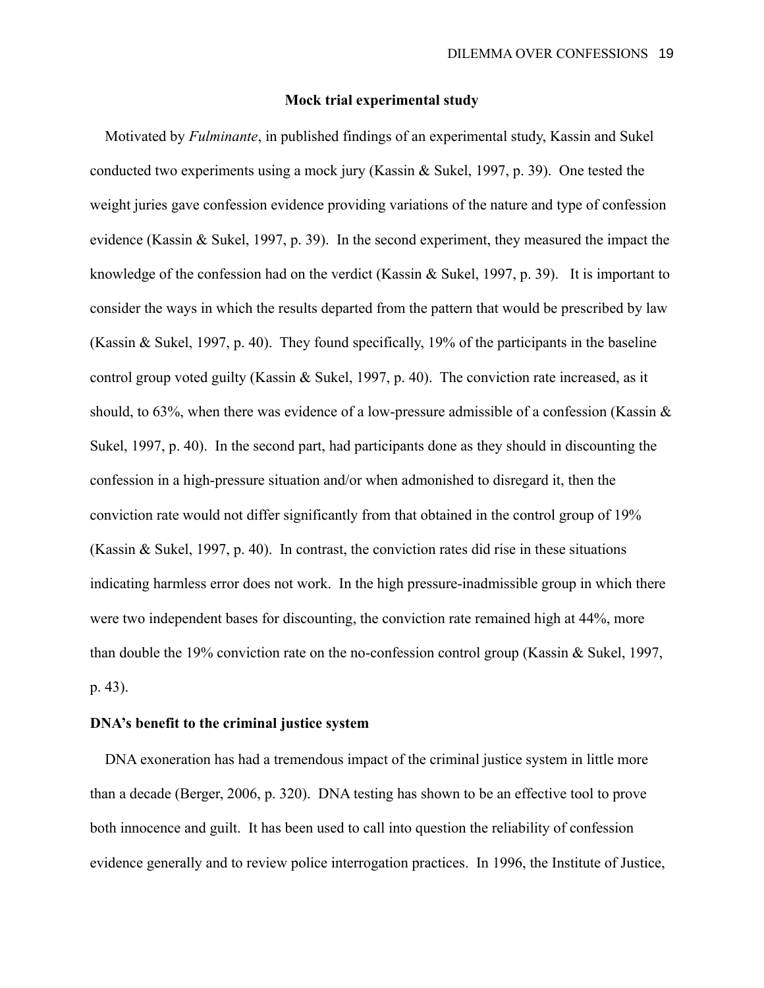# **Mock trial experimental study**

 Motivated by *Fulminante*, in published findings of an experimental study, Kassin and Sukel conducted two experiments using a mock jury (Kassin & Sukel, 1997, p. 39). One tested the weight juries gave confession evidence providing variations of the nature and type of confession evidence (Kassin & Sukel, 1997, p. 39). In the second experiment, they measured the impact the knowledge of the confession had on the verdict (Kassin & Sukel, 1997, p. 39). It is important to consider the ways in which the results departed from the pattern that would be prescribed by law (Kassin & Sukel, 1997, p. 40). They found specifically, 19% of the participants in the baseline control group voted guilty (Kassin & Sukel, 1997, p. 40). The conviction rate increased, as it should, to 63%, when there was evidence of a low-pressure admissible of a confession (Kassin & Sukel, 1997, p. 40). In the second part, had participants done as they should in discounting the confession in a high-pressure situation and/or when admonished to disregard it, then the conviction rate would not differ significantly from that obtained in the control group of 19% (Kassin & Sukel, 1997, p. 40). In contrast, the conviction rates did rise in these situations indicating harmless error does not work. In the high pressure-inadmissible group in which there were two independent bases for discounting, the conviction rate remained high at 44%, more than double the 19% conviction rate on the no-confession control group (Kassin & Sukel, 1997, p. 43).

# **DNA's benefit to the criminal justice system**

 DNA exoneration has had a tremendous impact of the criminal justice system in little more than a decade (Berger, 2006, p. 320). DNA testing has shown to be an effective tool to prove both innocence and guilt. It has been used to call into question the reliability of confession evidence generally and to review police interrogation practices. In 1996, the Institute of Justice,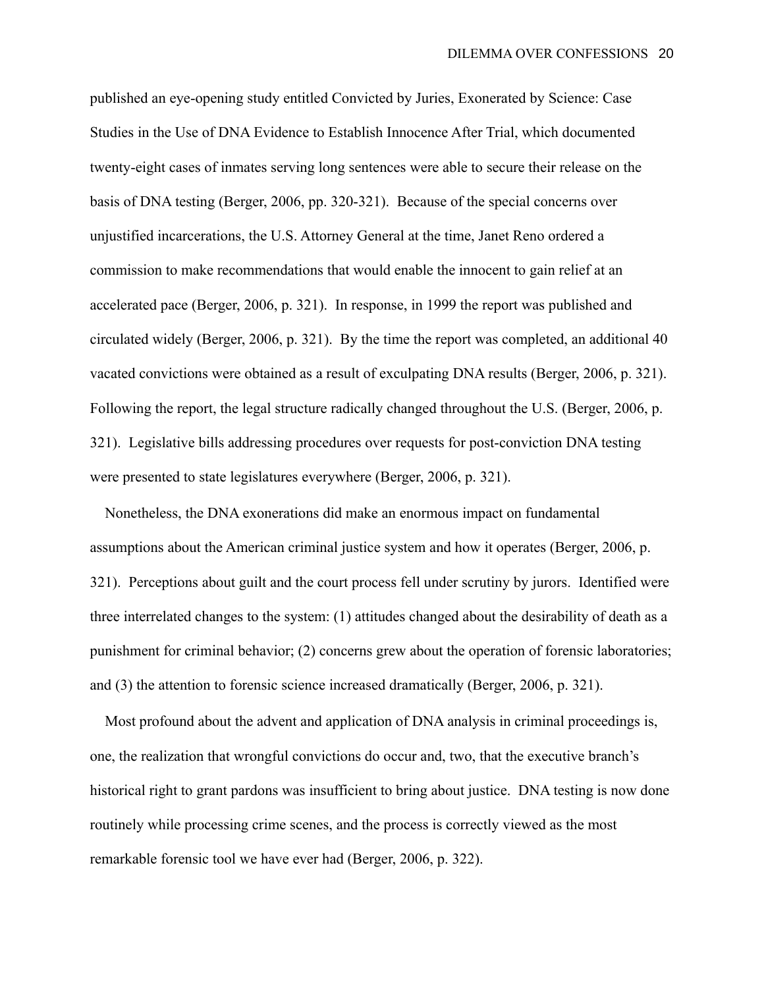published an eye-opening study entitled Convicted by Juries, Exonerated by Science: Case Studies in the Use of DNA Evidence to Establish Innocence After Trial, which documented twenty-eight cases of inmates serving long sentences were able to secure their release on the basis of DNA testing (Berger, 2006, pp. 320-321). Because of the special concerns over unjustified incarcerations, the U.S. Attorney General at the time, Janet Reno ordered a commission to make recommendations that would enable the innocent to gain relief at an accelerated pace (Berger, 2006, p. 321). In response, in 1999 the report was published and circulated widely (Berger, 2006, p. 321). By the time the report was completed, an additional 40 vacated convictions were obtained as a result of exculpating DNA results (Berger, 2006, p. 321). Following the report, the legal structure radically changed throughout the U.S. (Berger, 2006, p. 321). Legislative bills addressing procedures over requests for post-conviction DNA testing were presented to state legislatures everywhere (Berger, 2006, p. 321).

 Nonetheless, the DNA exonerations did make an enormous impact on fundamental assumptions about the American criminal justice system and how it operates (Berger, 2006, p. 321). Perceptions about guilt and the court process fell under scrutiny by jurors. Identified were three interrelated changes to the system: (1) attitudes changed about the desirability of death as a punishment for criminal behavior; (2) concerns grew about the operation of forensic laboratories; and (3) the attention to forensic science increased dramatically (Berger, 2006, p. 321).

 Most profound about the advent and application of DNA analysis in criminal proceedings is, one, the realization that wrongful convictions do occur and, two, that the executive branch's historical right to grant pardons was insufficient to bring about justice. DNA testing is now done routinely while processing crime scenes, and the process is correctly viewed as the most remarkable forensic tool we have ever had (Berger, 2006, p. 322).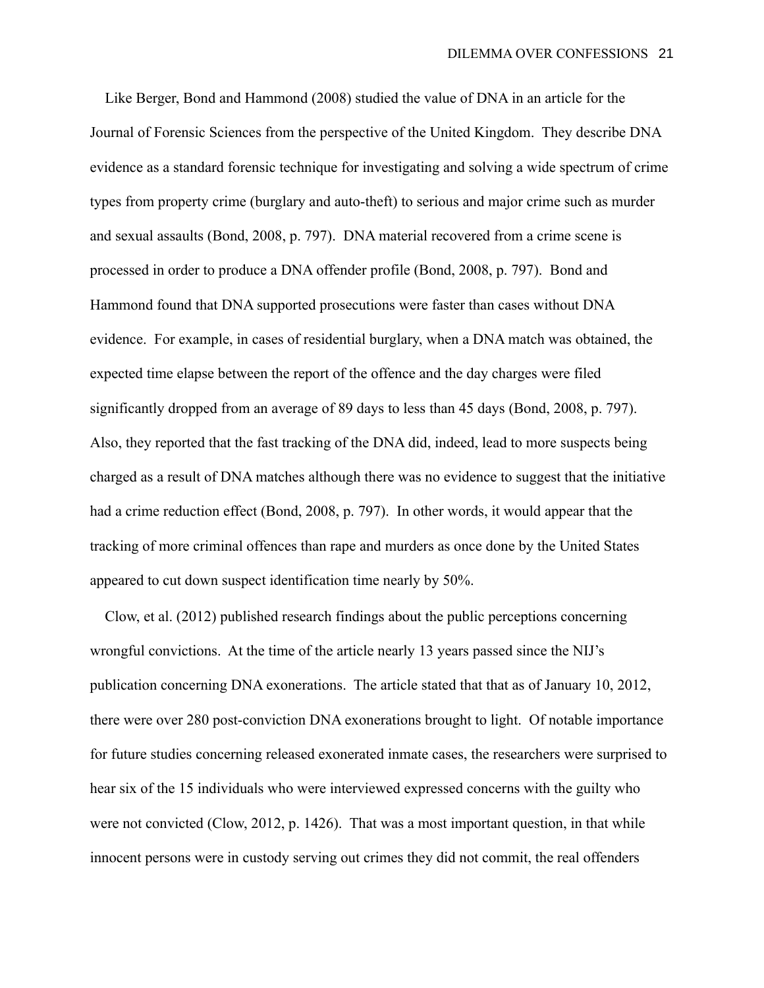Like Berger, Bond and Hammond (2008) studied the value of DNA in an article for the Journal of Forensic Sciences from the perspective of the United Kingdom. They describe DNA evidence as a standard forensic technique for investigating and solving a wide spectrum of crime types from property crime (burglary and auto-theft) to serious and major crime such as murder and sexual assaults (Bond, 2008, p. 797). DNA material recovered from a crime scene is processed in order to produce a DNA offender profile (Bond, 2008, p. 797). Bond and Hammond found that DNA supported prosecutions were faster than cases without DNA evidence. For example, in cases of residential burglary, when a DNA match was obtained, the expected time elapse between the report of the offence and the day charges were filed significantly dropped from an average of 89 days to less than 45 days (Bond, 2008, p. 797). Also, they reported that the fast tracking of the DNA did, indeed, lead to more suspects being charged as a result of DNA matches although there was no evidence to suggest that the initiative had a crime reduction effect (Bond, 2008, p. 797). In other words, it would appear that the tracking of more criminal offences than rape and murders as once done by the United States appeared to cut down suspect identification time nearly by 50%.

 Clow, et al. (2012) published research findings about the public perceptions concerning wrongful convictions. At the time of the article nearly 13 years passed since the NIJ's publication concerning DNA exonerations. The article stated that that as of January 10, 2012, there were over 280 post-conviction DNA exonerations brought to light. Of notable importance for future studies concerning released exonerated inmate cases, the researchers were surprised to hear six of the 15 individuals who were interviewed expressed concerns with the guilty who were not convicted (Clow, 2012, p. 1426). That was a most important question, in that while innocent persons were in custody serving out crimes they did not commit, the real offenders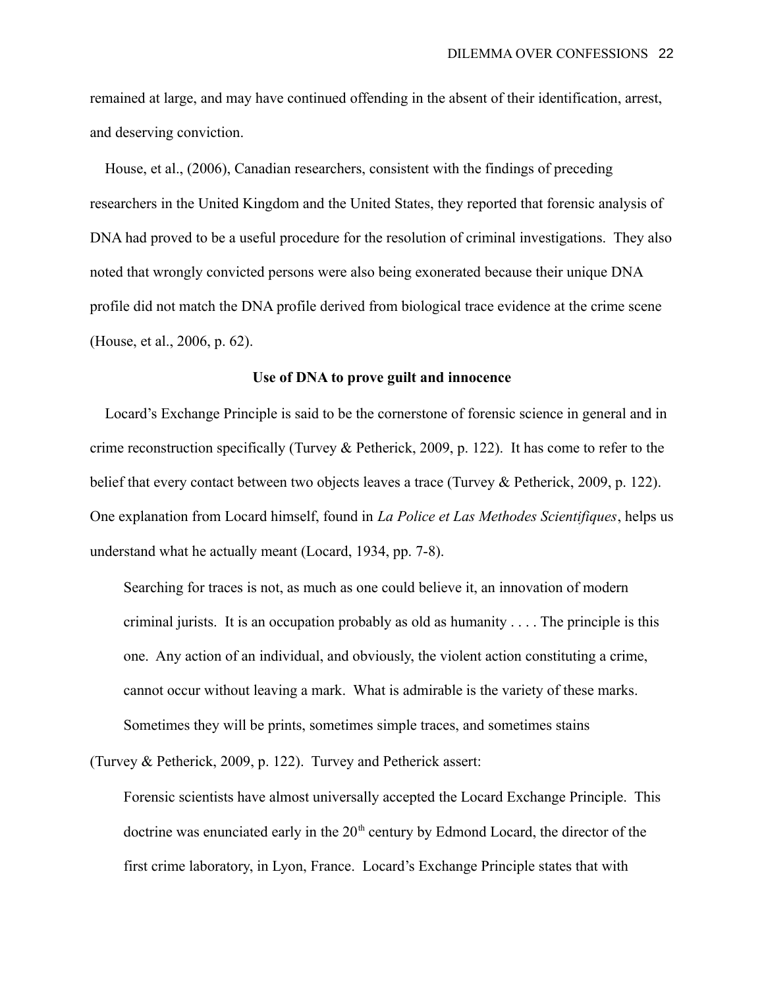remained at large, and may have continued offending in the absent of their identification, arrest, and deserving conviction.

 House, et al., (2006), Canadian researchers, consistent with the findings of preceding researchers in the United Kingdom and the United States, they reported that forensic analysis of DNA had proved to be a useful procedure for the resolution of criminal investigations. They also noted that wrongly convicted persons were also being exonerated because their unique DNA profile did not match the DNA profile derived from biological trace evidence at the crime scene (House, et al., 2006, p. 62).

### **Use of DNA to prove guilt and innocence**

 Locard's Exchange Principle is said to be the cornerstone of forensic science in general and in crime reconstruction specifically (Turvey & Petherick, 2009, p. 122). It has come to refer to the belief that every contact between two objects leaves a trace (Turvey & Petherick, 2009, p. 122). One explanation from Locard himself, found in *La Police et Las Methodes Scientifiques*, helps us understand what he actually meant (Locard, 1934, pp. 7-8).

Searching for traces is not, as much as one could believe it, an innovation of modern criminal jurists. It is an occupation probably as old as humanity . . . . The principle is this one. Any action of an individual, and obviously, the violent action constituting a crime, cannot occur without leaving a mark. What is admirable is the variety of these marks. Sometimes they will be prints, sometimes simple traces, and sometimes stains

(Turvey & Petherick, 2009, p. 122). Turvey and Petherick assert:

Forensic scientists have almost universally accepted the Locard Exchange Principle. This doctrine was enunciated early in the  $20<sup>th</sup>$  century by Edmond Locard, the director of the first crime laboratory, in Lyon, France. Locard's Exchange Principle states that with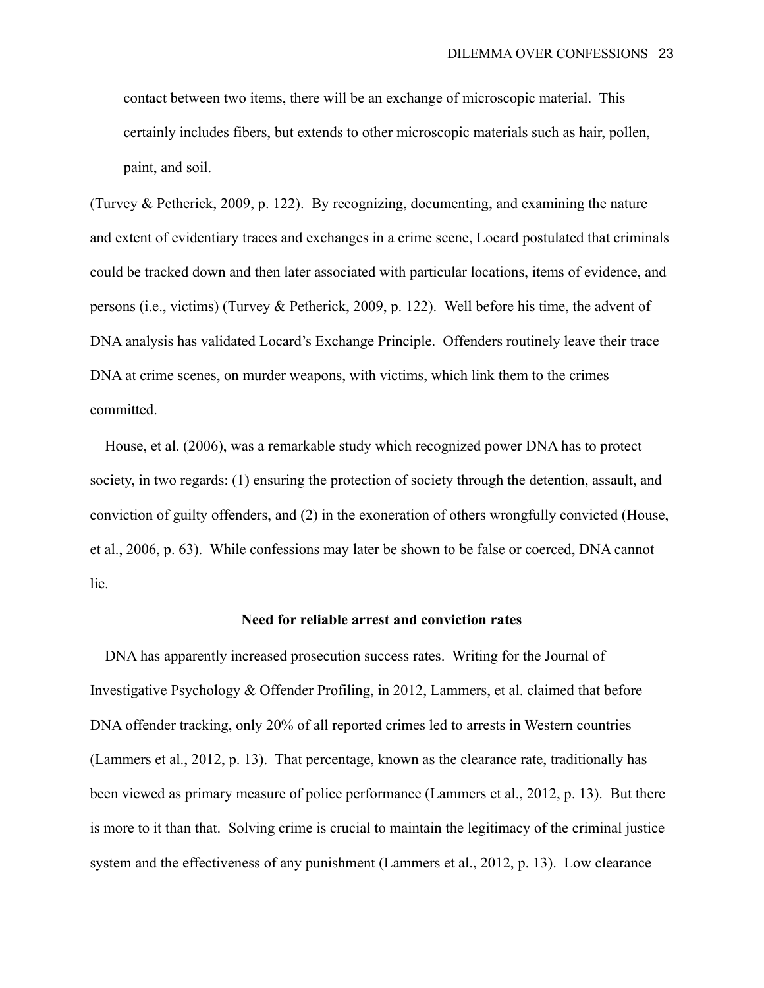contact between two items, there will be an exchange of microscopic material. This certainly includes fibers, but extends to other microscopic materials such as hair, pollen, paint, and soil.

(Turvey & Petherick, 2009, p. 122). By recognizing, documenting, and examining the nature and extent of evidentiary traces and exchanges in a crime scene, Locard postulated that criminals could be tracked down and then later associated with particular locations, items of evidence, and persons (i.e., victims) (Turvey & Petherick, 2009, p. 122). Well before his time, the advent of DNA analysis has validated Locard's Exchange Principle. Offenders routinely leave their trace DNA at crime scenes, on murder weapons, with victims, which link them to the crimes committed.

 House, et al. (2006), was a remarkable study which recognized power DNA has to protect society, in two regards: (1) ensuring the protection of society through the detention, assault, and conviction of guilty offenders, and (2) in the exoneration of others wrongfully convicted (House, et al., 2006, p. 63). While confessions may later be shown to be false or coerced, DNA cannot lie.

#### **Need for reliable arrest and conviction rates**

 DNA has apparently increased prosecution success rates. Writing for the Journal of Investigative Psychology & Offender Profiling, in 2012, Lammers, et al. claimed that before DNA offender tracking, only 20% of all reported crimes led to arrests in Western countries (Lammers et al., 2012, p. 13). That percentage, known as the clearance rate, traditionally has been viewed as primary measure of police performance (Lammers et al., 2012, p. 13). But there is more to it than that. Solving crime is crucial to maintain the legitimacy of the criminal justice system and the effectiveness of any punishment (Lammers et al., 2012, p. 13). Low clearance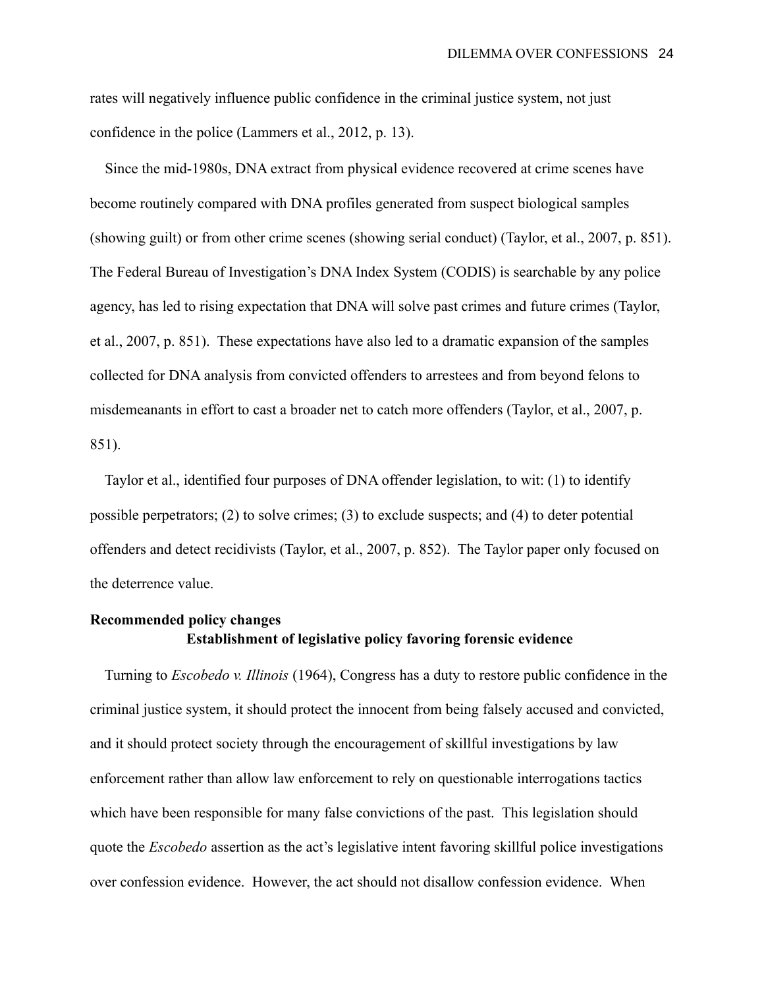rates will negatively influence public confidence in the criminal justice system, not just confidence in the police (Lammers et al., 2012, p. 13).

 Since the mid-1980s, DNA extract from physical evidence recovered at crime scenes have become routinely compared with DNA profiles generated from suspect biological samples (showing guilt) or from other crime scenes (showing serial conduct) (Taylor, et al., 2007, p. 851). The Federal Bureau of Investigation's DNA Index System (CODIS) is searchable by any police agency, has led to rising expectation that DNA will solve past crimes and future crimes (Taylor, et al., 2007, p. 851). These expectations have also led to a dramatic expansion of the samples collected for DNA analysis from convicted offenders to arrestees and from beyond felons to misdemeanants in effort to cast a broader net to catch more offenders (Taylor, et al., 2007, p. 851).

 Taylor et al., identified four purposes of DNA offender legislation, to wit: (1) to identify possible perpetrators; (2) to solve crimes; (3) to exclude suspects; and (4) to deter potential offenders and detect recidivists (Taylor, et al., 2007, p. 852). The Taylor paper only focused on the deterrence value.

# **Recommended policy changes Establishment of legislative policy favoring forensic evidence**

 Turning to *Escobedo v. Illinois* (1964), Congress has a duty to restore public confidence in the criminal justice system, it should protect the innocent from being falsely accused and convicted, and it should protect society through the encouragement of skillful investigations by law enforcement rather than allow law enforcement to rely on questionable interrogations tactics which have been responsible for many false convictions of the past. This legislation should quote the *Escobedo* assertion as the act's legislative intent favoring skillful police investigations over confession evidence. However, the act should not disallow confession evidence. When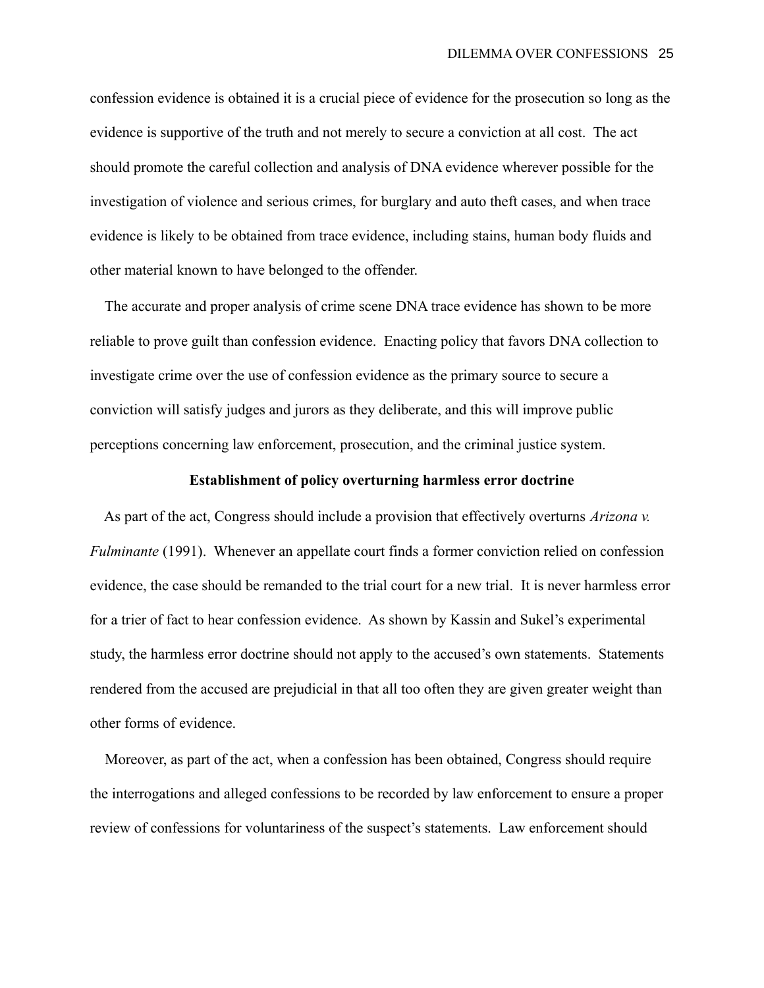confession evidence is obtained it is a crucial piece of evidence for the prosecution so long as the evidence is supportive of the truth and not merely to secure a conviction at all cost. The act should promote the careful collection and analysis of DNA evidence wherever possible for the investigation of violence and serious crimes, for burglary and auto theft cases, and when trace evidence is likely to be obtained from trace evidence, including stains, human body fluids and other material known to have belonged to the offender.

 The accurate and proper analysis of crime scene DNA trace evidence has shown to be more reliable to prove guilt than confession evidence. Enacting policy that favors DNA collection to investigate crime over the use of confession evidence as the primary source to secure a conviction will satisfy judges and jurors as they deliberate, and this will improve public perceptions concerning law enforcement, prosecution, and the criminal justice system.

# **Establishment of policy overturning harmless error doctrine**

 As part of the act, Congress should include a provision that effectively overturns *Arizona v. Fulminante* (1991). Whenever an appellate court finds a former conviction relied on confession evidence, the case should be remanded to the trial court for a new trial. It is never harmless error for a trier of fact to hear confession evidence. As shown by Kassin and Sukel's experimental study, the harmless error doctrine should not apply to the accused's own statements. Statements rendered from the accused are prejudicial in that all too often they are given greater weight than other forms of evidence.

 Moreover, as part of the act, when a confession has been obtained, Congress should require the interrogations and alleged confessions to be recorded by law enforcement to ensure a proper review of confessions for voluntariness of the suspect's statements. Law enforcement should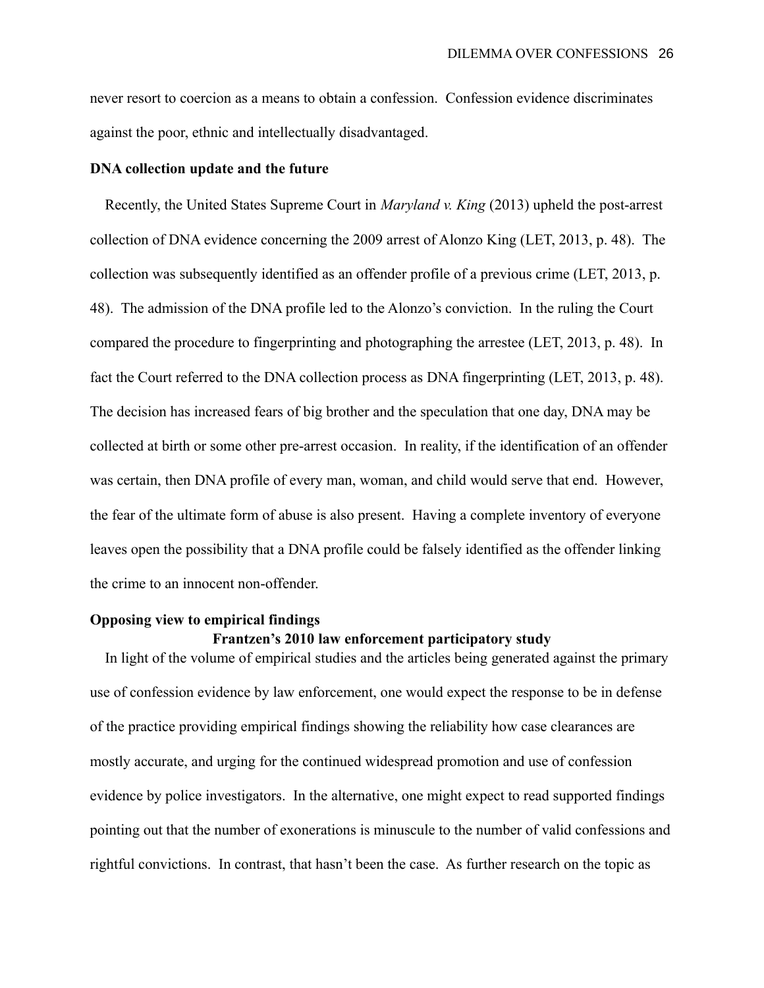never resort to coercion as a means to obtain a confession. Confession evidence discriminates against the poor, ethnic and intellectually disadvantaged.

### **DNA collection update and the future**

 Recently, the United States Supreme Court in *Maryland v. King* (2013) upheld the post-arrest collection of DNA evidence concerning the 2009 arrest of Alonzo King (LET, 2013, p. 48). The collection was subsequently identified as an offender profile of a previous crime (LET, 2013, p. 48). The admission of the DNA profile led to the Alonzo's conviction. In the ruling the Court compared the procedure to fingerprinting and photographing the arrestee (LET, 2013, p. 48). In fact the Court referred to the DNA collection process as DNA fingerprinting (LET, 2013, p. 48). The decision has increased fears of big brother and the speculation that one day, DNA may be collected at birth or some other pre-arrest occasion. In reality, if the identification of an offender was certain, then DNA profile of every man, woman, and child would serve that end. However, the fear of the ultimate form of abuse is also present. Having a complete inventory of everyone leaves open the possibility that a DNA profile could be falsely identified as the offender linking the crime to an innocent non-offender.

# **Opposing view to empirical findings**

# **Frantzen's 2010 law enforcement participatory study**

 In light of the volume of empirical studies and the articles being generated against the primary use of confession evidence by law enforcement, one would expect the response to be in defense of the practice providing empirical findings showing the reliability how case clearances are mostly accurate, and urging for the continued widespread promotion and use of confession evidence by police investigators. In the alternative, one might expect to read supported findings pointing out that the number of exonerations is minuscule to the number of valid confessions and rightful convictions. In contrast, that hasn't been the case. As further research on the topic as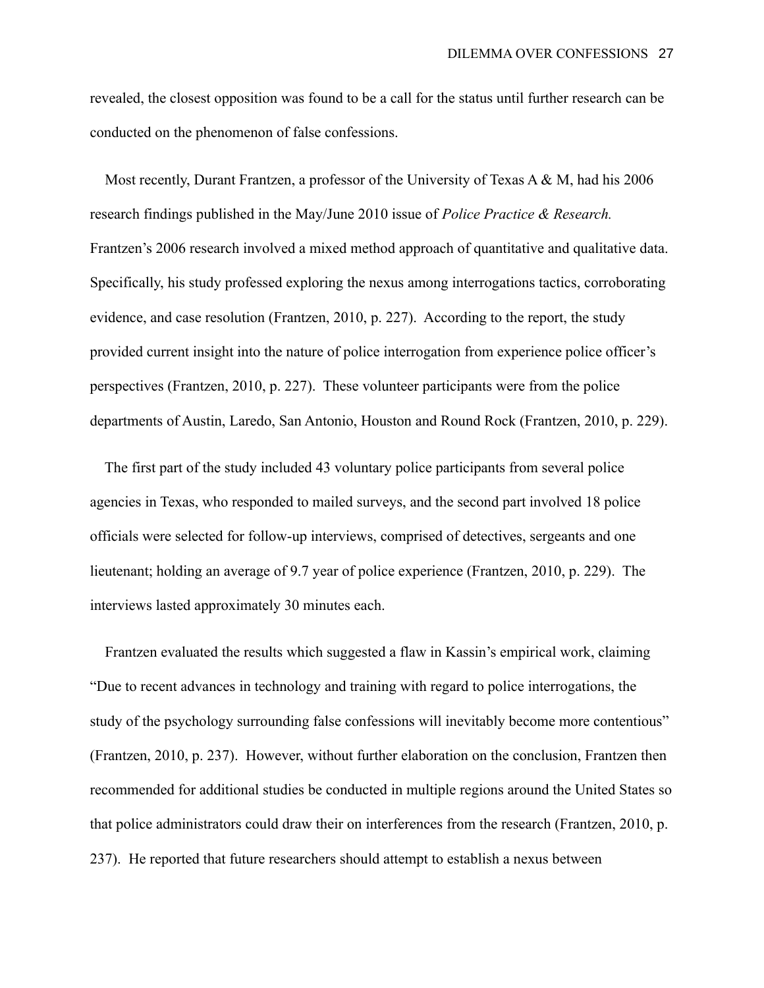revealed, the closest opposition was found to be a call for the status until further research can be conducted on the phenomenon of false confessions.

 Most recently, Durant Frantzen, a professor of the University of Texas A & M, had his 2006 research findings published in the May/June 2010 issue of *Police Practice & Research.*  Frantzen's 2006 research involved a mixed method approach of quantitative and qualitative data. Specifically, his study professed exploring the nexus among interrogations tactics, corroborating evidence, and case resolution (Frantzen, 2010, p. 227). According to the report, the study provided current insight into the nature of police interrogation from experience police officer's perspectives (Frantzen, 2010, p. 227). These volunteer participants were from the police departments of Austin, Laredo, San Antonio, Houston and Round Rock (Frantzen, 2010, p. 229).

 The first part of the study included 43 voluntary police participants from several police agencies in Texas, who responded to mailed surveys, and the second part involved 18 police officials were selected for follow-up interviews, comprised of detectives, sergeants and one lieutenant; holding an average of 9.7 year of police experience (Frantzen, 2010, p. 229). The interviews lasted approximately 30 minutes each.

 Frantzen evaluated the results which suggested a flaw in Kassin's empirical work, claiming "Due to recent advances in technology and training with regard to police interrogations, the study of the psychology surrounding false confessions will inevitably become more contentious" (Frantzen, 2010, p. 237). However, without further elaboration on the conclusion, Frantzen then recommended for additional studies be conducted in multiple regions around the United States so that police administrators could draw their on interferences from the research (Frantzen, 2010, p. 237). He reported that future researchers should attempt to establish a nexus between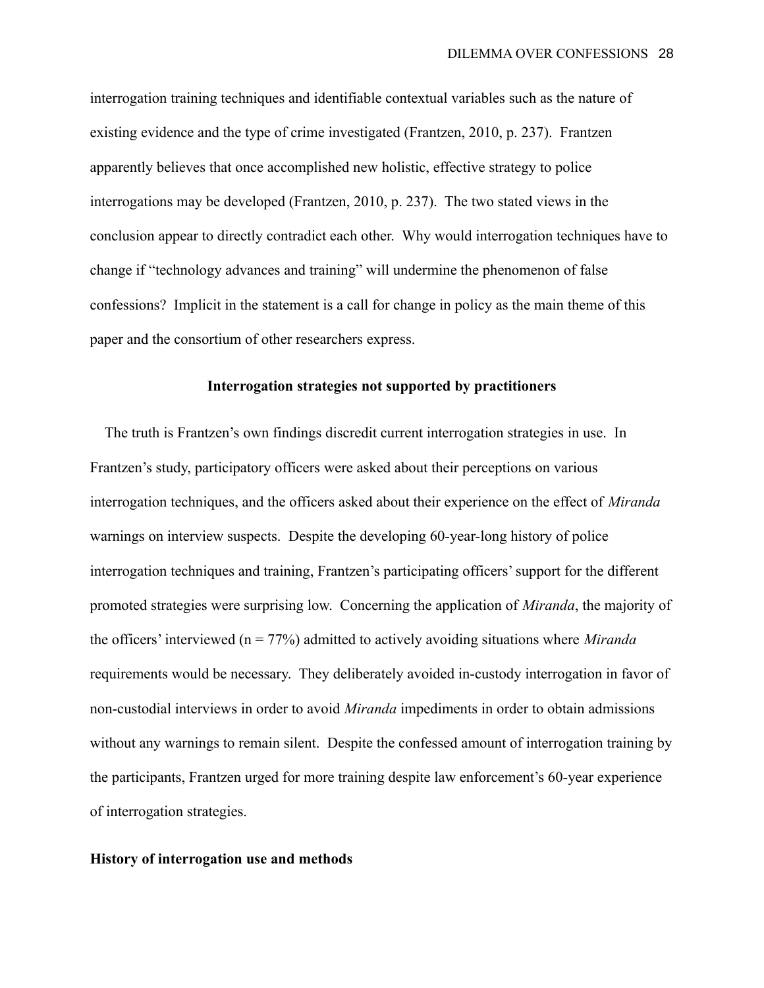interrogation training techniques and identifiable contextual variables such as the nature of existing evidence and the type of crime investigated (Frantzen, 2010, p. 237). Frantzen apparently believes that once accomplished new holistic, effective strategy to police interrogations may be developed (Frantzen, 2010, p. 237). The two stated views in the conclusion appear to directly contradict each other. Why would interrogation techniques have to change if "technology advances and training" will undermine the phenomenon of false confessions? Implicit in the statement is a call for change in policy as the main theme of this paper and the consortium of other researchers express.

# **Interrogation strategies not supported by practitioners**

 The truth is Frantzen's own findings discredit current interrogation strategies in use. In Frantzen's study, participatory officers were asked about their perceptions on various interrogation techniques, and the officers asked about their experience on the effect of *Miranda* warnings on interview suspects. Despite the developing 60-year-long history of police interrogation techniques and training, Frantzen's participating officers' support for the different promoted strategies were surprising low. Concerning the application of *Miranda*, the majority of the officers' interviewed (n = 77%) admitted to actively avoiding situations where *Miranda*  requirements would be necessary. They deliberately avoided in-custody interrogation in favor of non-custodial interviews in order to avoid *Miranda* impediments in order to obtain admissions without any warnings to remain silent. Despite the confessed amount of interrogation training by the participants, Frantzen urged for more training despite law enforcement's 60-year experience of interrogation strategies.

# **History of interrogation use and methods**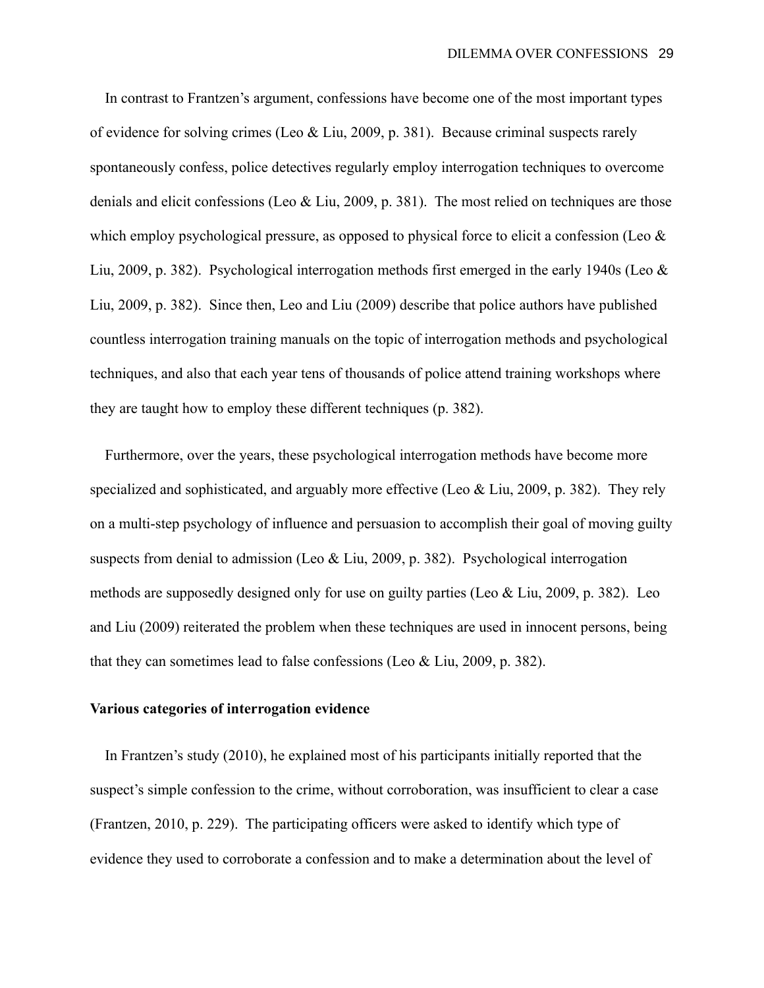In contrast to Frantzen's argument, confessions have become one of the most important types of evidence for solving crimes (Leo & Liu, 2009, p. 381). Because criminal suspects rarely spontaneously confess, police detectives regularly employ interrogation techniques to overcome denials and elicit confessions (Leo & Liu, 2009, p. 381). The most relied on techniques are those which employ psychological pressure, as opposed to physical force to elicit a confession (Leo  $\&$ Liu, 2009, p. 382). Psychological interrogation methods first emerged in the early 1940s (Leo & Liu, 2009, p. 382). Since then, Leo and Liu (2009) describe that police authors have published countless interrogation training manuals on the topic of interrogation methods and psychological techniques, and also that each year tens of thousands of police attend training workshops where they are taught how to employ these different techniques (p. 382).

 Furthermore, over the years, these psychological interrogation methods have become more specialized and sophisticated, and arguably more effective (Leo & Liu, 2009, p. 382). They rely on a multi-step psychology of influence and persuasion to accomplish their goal of moving guilty suspects from denial to admission (Leo & Liu, 2009, p. 382). Psychological interrogation methods are supposedly designed only for use on guilty parties (Leo & Liu, 2009, p. 382). Leo and Liu (2009) reiterated the problem when these techniques are used in innocent persons, being that they can sometimes lead to false confessions (Leo & Liu, 2009, p. 382).

# **Various categories of interrogation evidence**

 In Frantzen's study (2010), he explained most of his participants initially reported that the suspect's simple confession to the crime, without corroboration, was insufficient to clear a case (Frantzen, 2010, p. 229). The participating officers were asked to identify which type of evidence they used to corroborate a confession and to make a determination about the level of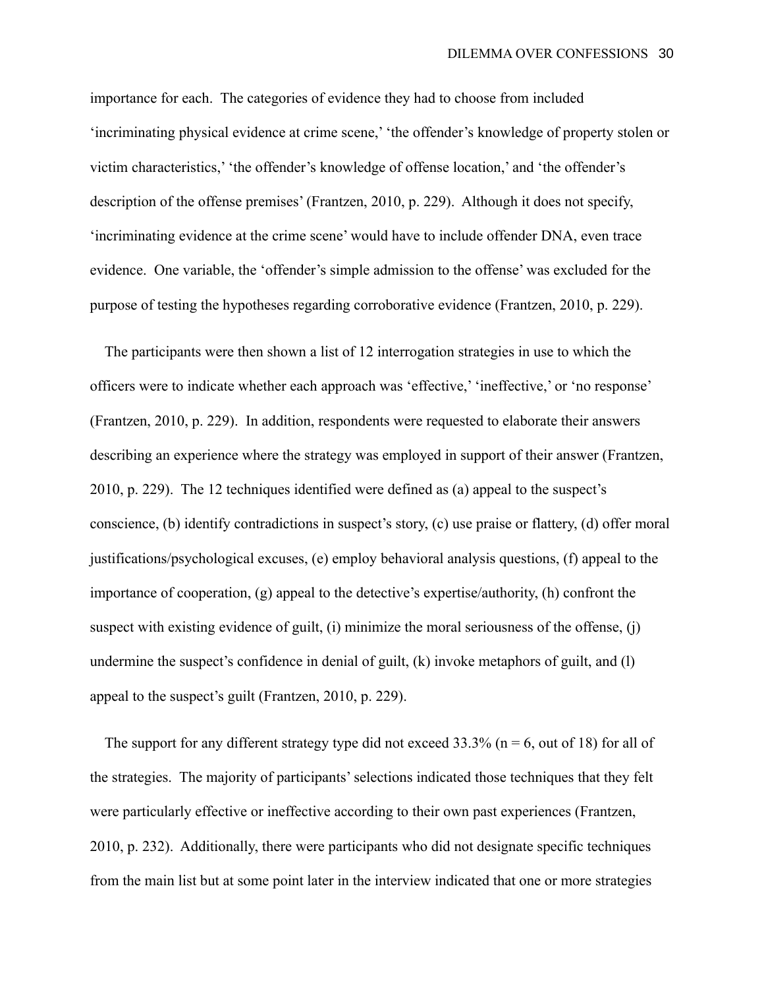importance for each. The categories of evidence they had to choose from included 'incriminating physical evidence at crime scene,' 'the offender's knowledge of property stolen or victim characteristics,' 'the offender's knowledge of offense location,' and 'the offender's description of the offense premises' (Frantzen, 2010, p. 229). Although it does not specify, 'incriminating evidence at the crime scene' would have to include offender DNA, even trace evidence. One variable, the 'offender's simple admission to the offense' was excluded for the purpose of testing the hypotheses regarding corroborative evidence (Frantzen, 2010, p. 229).

 The participants were then shown a list of 12 interrogation strategies in use to which the officers were to indicate whether each approach was 'effective,' 'ineffective,' or 'no response' (Frantzen, 2010, p. 229). In addition, respondents were requested to elaborate their answers describing an experience where the strategy was employed in support of their answer (Frantzen, 2010, p. 229). The 12 techniques identified were defined as (a) appeal to the suspect's conscience, (b) identify contradictions in suspect's story, (c) use praise or flattery, (d) offer moral justifications/psychological excuses, (e) employ behavioral analysis questions, (f) appeal to the importance of cooperation, (g) appeal to the detective's expertise/authority, (h) confront the suspect with existing evidence of guilt, (i) minimize the moral seriousness of the offense, (j) undermine the suspect's confidence in denial of guilt, (k) invoke metaphors of guilt, and (l) appeal to the suspect's guilt (Frantzen, 2010, p. 229).

The support for any different strategy type did not exceed  $33.3\%$  (n = 6, out of 18) for all of the strategies. The majority of participants' selections indicated those techniques that they felt were particularly effective or ineffective according to their own past experiences (Frantzen, 2010, p. 232). Additionally, there were participants who did not designate specific techniques from the main list but at some point later in the interview indicated that one or more strategies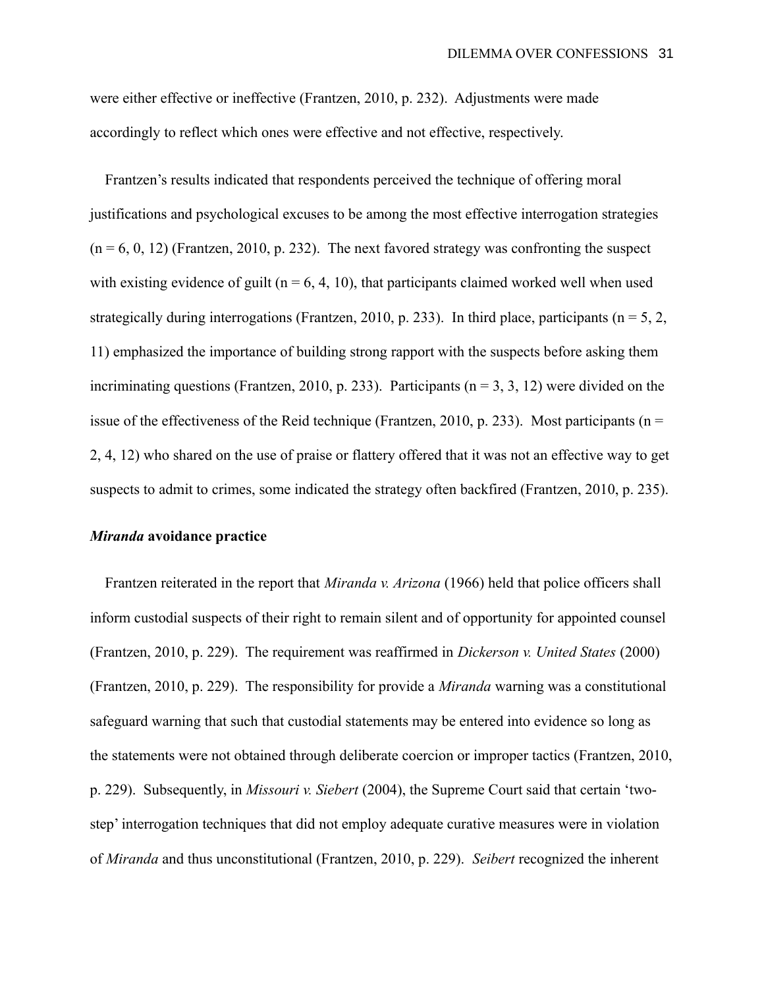were either effective or ineffective (Frantzen, 2010, p. 232). Adjustments were made accordingly to reflect which ones were effective and not effective, respectively.

 Frantzen's results indicated that respondents perceived the technique of offering moral justifications and psychological excuses to be among the most effective interrogation strategies  $(n = 6, 0, 12)$  (Frantzen, 2010, p. 232). The next favored strategy was confronting the suspect with existing evidence of guilt ( $n = 6, 4, 10$ ), that participants claimed worked well when used strategically during interrogations (Frantzen, 2010, p. 233). In third place, participants ( $n = 5, 2,$ 11) emphasized the importance of building strong rapport with the suspects before asking them incriminating questions (Frantzen, 2010, p. 233). Participants ( $n = 3, 3, 12$ ) were divided on the issue of the effectiveness of the Reid technique (Frantzen, 2010, p. 233). Most participants ( $n =$ 2, 4, 12) who shared on the use of praise or flattery offered that it was not an effective way to get suspects to admit to crimes, some indicated the strategy often backfired (Frantzen, 2010, p. 235).

# *Miranda* **avoidance practice**

 Frantzen reiterated in the report that *Miranda v. Arizona* (1966) held that police officers shall inform custodial suspects of their right to remain silent and of opportunity for appointed counsel (Frantzen, 2010, p. 229). The requirement was reaffirmed in *Dickerson v. United States* (2000) (Frantzen, 2010, p. 229). The responsibility for provide a *Miranda* warning was a constitutional safeguard warning that such that custodial statements may be entered into evidence so long as the statements were not obtained through deliberate coercion or improper tactics (Frantzen, 2010, p. 229). Subsequently, in *Missouri v. Siebert* (2004), the Supreme Court said that certain 'twostep' interrogation techniques that did not employ adequate curative measures were in violation of *Miranda* and thus unconstitutional (Frantzen, 2010, p. 229). *Seibert* recognized the inherent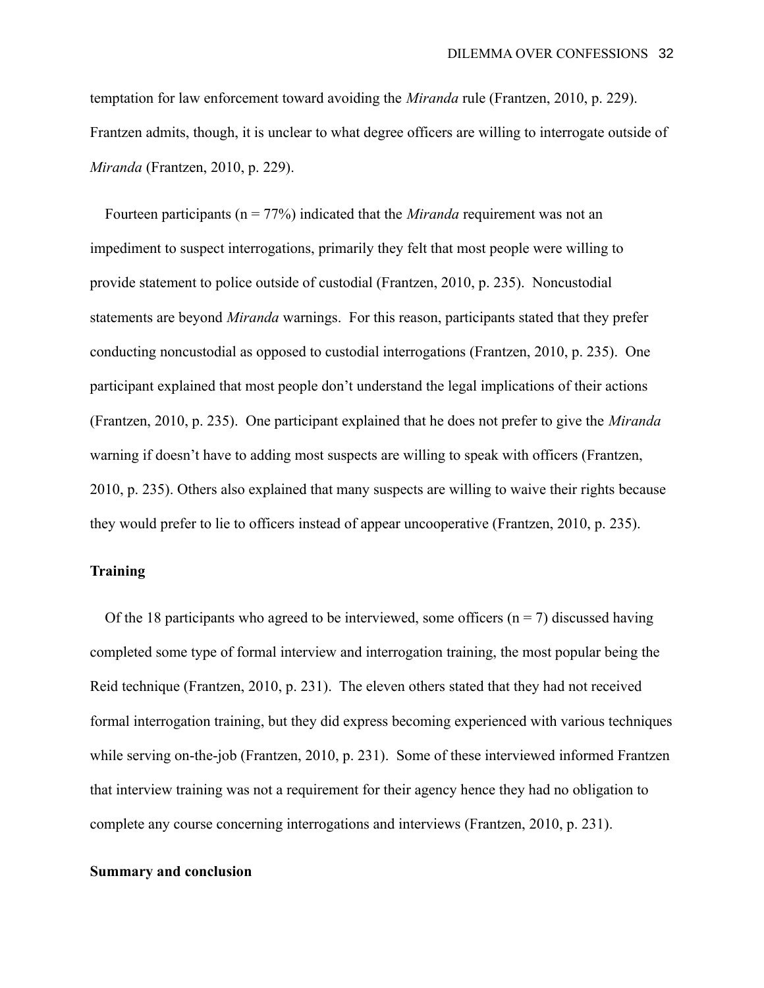temptation for law enforcement toward avoiding the *Miranda* rule (Frantzen, 2010, p. 229). Frantzen admits, though, it is unclear to what degree officers are willing to interrogate outside of *Miranda* (Frantzen, 2010, p. 229).

 Fourteen participants (n = 77%) indicated that the *Miranda* requirement was not an impediment to suspect interrogations, primarily they felt that most people were willing to provide statement to police outside of custodial (Frantzen, 2010, p. 235). Noncustodial statements are beyond *Miranda* warnings. For this reason, participants stated that they prefer conducting noncustodial as opposed to custodial interrogations (Frantzen, 2010, p. 235). One participant explained that most people don't understand the legal implications of their actions (Frantzen, 2010, p. 235). One participant explained that he does not prefer to give the *Miranda*  warning if doesn't have to adding most suspects are willing to speak with officers (Frantzen, 2010, p. 235). Others also explained that many suspects are willing to waive their rights because they would prefer to lie to officers instead of appear uncooperative (Frantzen, 2010, p. 235).

# **Training**

Of the 18 participants who agreed to be interviewed, some officers ( $n = 7$ ) discussed having completed some type of formal interview and interrogation training, the most popular being the Reid technique (Frantzen, 2010, p. 231). The eleven others stated that they had not received formal interrogation training, but they did express becoming experienced with various techniques while serving on-the-job (Frantzen, 2010, p. 231). Some of these interviewed informed Frantzen that interview training was not a requirement for their agency hence they had no obligation to complete any course concerning interrogations and interviews (Frantzen, 2010, p. 231).

### **Summary and conclusion**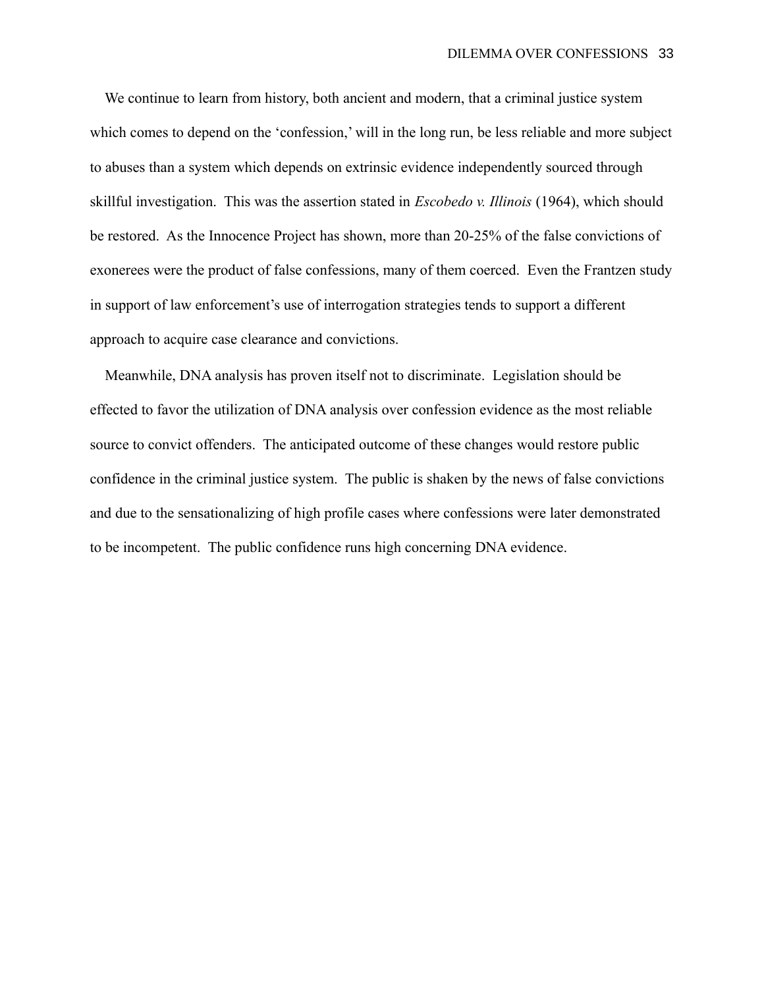We continue to learn from history, both ancient and modern, that a criminal justice system which comes to depend on the 'confession,' will in the long run, be less reliable and more subject to abuses than a system which depends on extrinsic evidence independently sourced through skillful investigation. This was the assertion stated in *Escobedo v. Illinois* (1964), which should be restored. As the Innocence Project has shown, more than 20-25% of the false convictions of exonerees were the product of false confessions, many of them coerced. Even the Frantzen study in support of law enforcement's use of interrogation strategies tends to support a different approach to acquire case clearance and convictions.

 Meanwhile, DNA analysis has proven itself not to discriminate. Legislation should be effected to favor the utilization of DNA analysis over confession evidence as the most reliable source to convict offenders. The anticipated outcome of these changes would restore public confidence in the criminal justice system. The public is shaken by the news of false convictions and due to the sensationalizing of high profile cases where confessions were later demonstrated to be incompetent. The public confidence runs high concerning DNA evidence.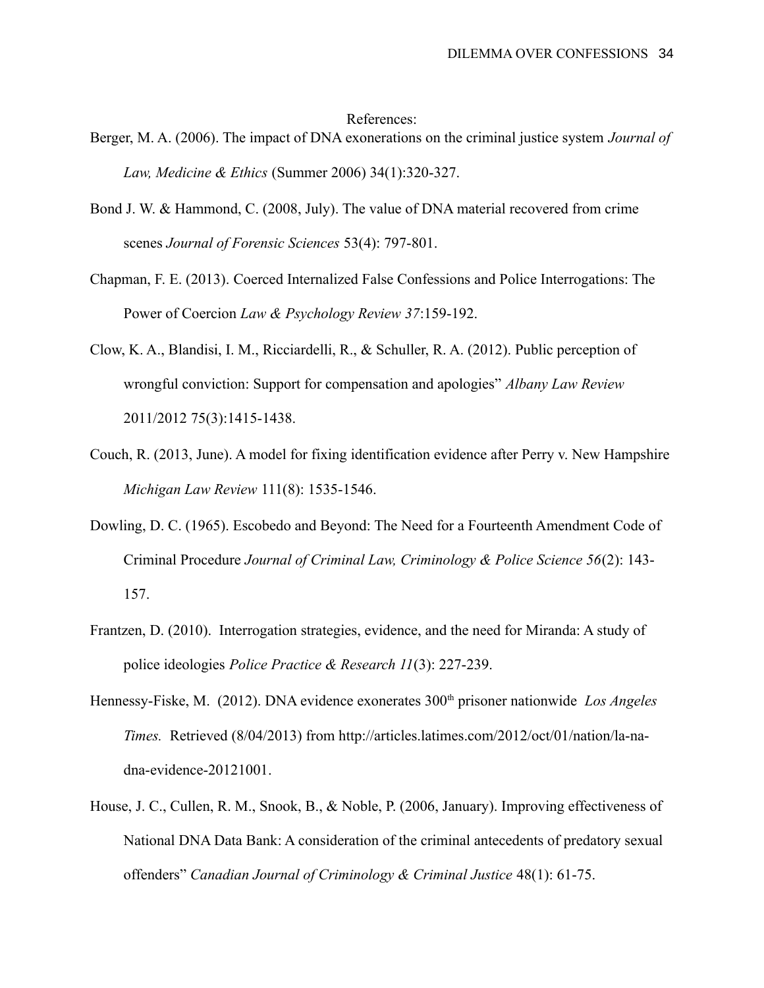#### References:

- Berger, M. A. (2006). The impact of DNA exonerations on the criminal justice system *Journal of Law, Medicine & Ethics* (Summer 2006) 34(1):320-327.
- Bond J. W. & Hammond, C. (2008, July). The value of DNA material recovered from crime scenes *Journal of Forensic Sciences* 53(4): 797-801.
- Chapman, F. E. (2013). Coerced Internalized False Confessions and Police Interrogations: The Power of Coercion *Law & Psychology Review 37*:159-192.
- Clow, K. A., Blandisi, I. M., Ricciardelli, R., & Schuller, R. A. (2012). Public perception of wrongful conviction: Support for compensation and apologies" *Albany Law Review* 2011/2012 75(3):1415-1438.
- Couch, R. (2013, June). A model for fixing identification evidence after Perry v. New Hampshire *Michigan Law Review* 111(8): 1535-1546.
- Dowling, D. C. (1965). Escobedo and Beyond: The Need for a Fourteenth Amendment Code of Criminal Procedure *Journal of Criminal Law, Criminology & Police Science 56*(2): 143- 157.
- Frantzen, D. (2010). Interrogation strategies, evidence, and the need for Miranda: A study of police ideologies *Police Practice & Research 11*(3): 227-239.
- Hennessy-Fiske, M. (2012). DNA evidence exonerates 300<sup>th</sup> prisoner nationwide *Los Angeles Times.* Retrieved (8/04/2013) from http://articles.latimes.com/2012/oct/01/nation/la-nadna-evidence-20121001.
- House, J. C., Cullen, R. M., Snook, B., & Noble, P. (2006, January). Improving effectiveness of National DNA Data Bank: A consideration of the criminal antecedents of predatory sexual offenders" *Canadian Journal of Criminology & Criminal Justice* 48(1): 61-75.